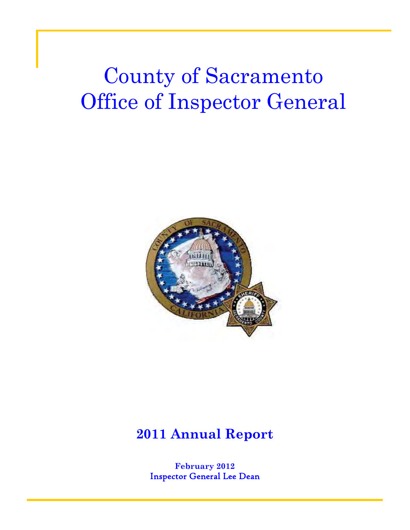# County of Sacramento Office of Inspector General



# **2011 Annual Report**

**February 2012**  Inspector General Lee Dean

1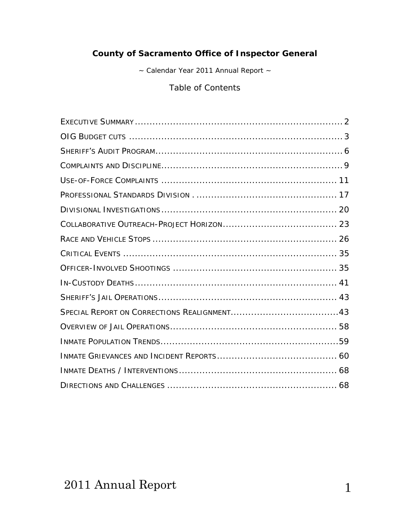### **County of Sacramento Office of Inspector General**

~ Calendar Year 2011 Annual Report ~

Table of Contents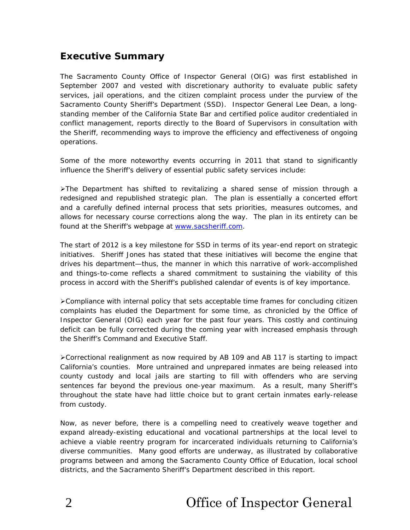### **Executive Summary**

The Sacramento County Office of Inspector General (OIG) was first established in September 2007 and vested with discretionary authority to evaluate public safety services, jail operations, and the citizen complaint process under the purview of the Sacramento County Sheriff's Department (SSD). Inspector General Lee Dean, a longstanding member of the California State Bar and certified police auditor credentialed in conflict management, reports directly to the Board of Supervisors in consultation with the Sheriff, recommending ways to improve the efficiency and effectiveness of ongoing operations.

Some of the more noteworthy events occurring in 2011 that stand to significantly influence the Sheriff's delivery of essential public safety services include:

 $\blacktriangleright$ The Department has shifted to revitalizing a shared sense of mission through a redesigned and republished *strategic plan*. The *plan* is essentially a concerted effort and a carefully defined internal process that sets priorities, measures outcomes, and allows for necessary course corrections along the way. The *plan* in its entirety can be found at the Sheriff's webpage at [www.sacsheriff.com](http://www.sacsheriff.com/).

The start of 2012 is a key milestone for SSD in terms of its year-end report on strategic initiatives. Sheriff Jones has stated that these initiatives will become the engine that drives his department—thus, the manner in which this narrative of work-accomplished and things-to-come reflects a shared commitment to sustaining the viability of this process in accord with the Sheriff's published calendar of events is of key importance.

Compliance with internal policy that sets acceptable time frames for concluding citizen complaints has eluded the Department for some time, as chronicled by the Office of Inspector General (OIG) each year for the past four years. This costly and continuing deficit can be fully corrected during the coming year with increased emphasis through the Sheriff's Command and Executive Staff.

Correctional realignment as now required by AB 109 and AB 117 is starting to impact California's counties. More untrained and unprepared inmates are being released into county custody and local jails are starting to fill with offenders who are serving sentences far beyond the previous one-year maximum. As a result, many Sheriff's throughout the state have had little choice but to grant certain inmates early-release from custody.

Now, as never before, there is a compelling need to creatively weave together and expand already-existing educational and vocational partnerships at the local level to achieve a viable reentry program for incarcerated individuals returning to California's diverse communities. Many good efforts are underway, as illustrated by collaborative programs between and among the Sacramento County Office of Education, local school districts, and the Sacramento Sheriff's Department described in this report.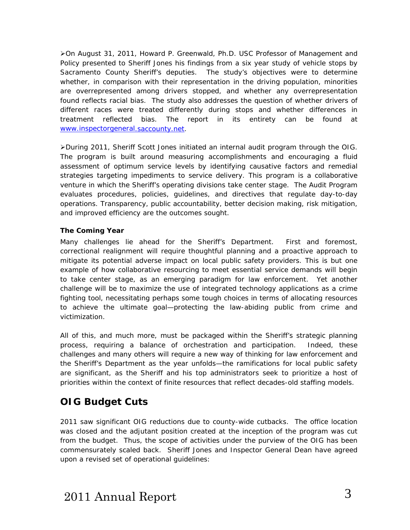On August 31, 2011, Howard P. Greenwald, Ph.D. USC Professor of Management and Policy presented to Sheriff Jones his findings from a six year study of vehicle stops by Sacramento County Sheriff's deputies. The study's objectives were to determine whether, in comparison with their representation in the driving population, minorities are overrepresented among drivers stopped, and whether any overrepresentation found reflects racial bias. The study also addresses the question of whether drivers of different races were treated differently during stops and whether differences in treatment reflected bias. The report in its entirety can be found at [www.inspectorgeneral.saccounty.net](http://www.inspectorgeneral.saccounty.net/).

During 2011, Sheriff Scott Jones initiated an internal audit program through the OIG. The program is built around measuring accomplishments and encouraging a fluid assessment of optimum service levels by identifying causative factors and remedial strategies targeting impediments to service delivery. This program is a collaborative venture in which the Sheriff's operating divisions take center stage. The Audit Program evaluates procedures, policies, guidelines, and directives that regulate day-to-day operations. Transparency, public accountability, better decision making, risk mitigation, and improved efficiency are the outcomes sought.

#### **The Coming Year**

Many challenges lie ahead for the Sheriff's Department. First and foremost, correctional realignment will require thoughtful planning and a proactive approach to mitigate its potential adverse impact on local public safety providers. This is but one example of how collaborative resourcing to meet essential service demands will begin to take center stage, as an emerging paradigm for law enforcement. Yet another challenge will be to maximize the use of integrated technology applications as a crime fighting tool, necessitating perhaps some tough choices in terms of allocating resources to achieve the ultimate goal—protecting the law-abiding public from crime and victimization.

All of this, and much more, must be packaged within the Sheriff's strategic planning process, requiring a balance of orchestration and participation. Indeed, these challenges and many others will require a new way of thinking for law enforcement and the Sheriff's Department as the year unfolds—the ramifications for local public safety are significant, as the Sheriff and his top administrators seek to prioritize a host of priorities within the context of finite resources that reflect decades-old staffing models.

### **OIG Budget Cuts**

2011 saw significant OIG reductions due to county-wide cutbacks. The office location was closed and the adjutant position created at the inception of the program was cut from the budget. Thus, the scope of activities under the purview of the OIG has been commensurately scaled back. Sheriff Jones and Inspector General Dean have agreed upon a revised set of operational guidelines: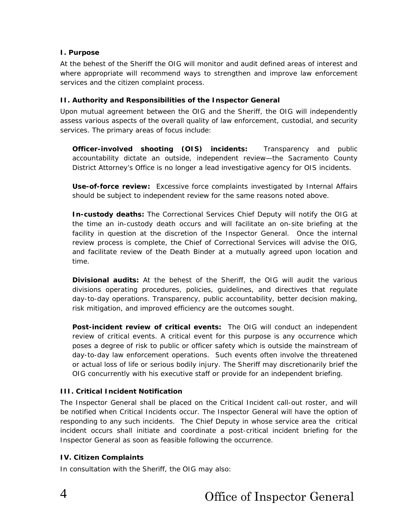#### **I. Purpose**

At the behest of the Sheriff the OIG will monitor and audit defined areas of interest and where appropriate will recommend ways to strengthen and improve law enforcement services and the citizen complaint process.

#### **II. Authority and Responsibilities of the Inspector General**

Upon mutual agreement between the OIG and the Sheriff, the OIG will independently assess various aspects of the overall quality of law enforcement, custodial, and security services. The primary areas of focus include:

**Officer-involved shooting (OIS) incidents:** Transparency and public accountability dictate an outside, independent review—the Sacramento County District Attorney's Office is no longer a lead investigative agency for OIS incidents.

**Use-of-force review:** Excessive force complaints investigated by Internal Affairs should be subject to independent review for the same reasons noted above.

**In-custody deaths:** The Correctional Services Chief Deputy will notify the OIG at the time an in-custody death occurs and will facilitate an on-site briefing at the facility in question at the discretion of the Inspector General. Once the internal review process is complete, the Chief of Correctional Services will advise the OIG, and facilitate review of the Death Binder at a mutually agreed upon location and time.

**Divisional audits:** At the behest of the Sheriff, the OIG will audit the various divisions operating procedures, policies, guidelines, and directives that regulate day-to-day operations. Transparency, public accountability, better decision making, risk mitigation, and improved efficiency are the outcomes sought.

**Post-incident review of critical events:** The OIG will conduct an independent review of critical events. A critical event for this purpose is any occurrence which poses a degree of risk to public or officer safety which is outside the mainstream of day-to-day law enforcement operations. Such events often involve the threatened or actual loss of life or serious bodily injury. The Sheriff may discretionarily brief the OIG concurrently with his executive staff or provide for an independent briefing.

#### **III. Critical Incident Notification**

The Inspector General shall be placed on the Critical Incident call-out roster, and will be notified when Critical Incidents occur. The Inspector General will have the option of responding to any such incidents. The Chief Deputy in whose service area the critical incident occurs shall initiate and coordinate a post-critical incident briefing for the Inspector General as soon as feasible following the occurrence.

#### **IV. Citizen Complaints**

In consultation with the Sheriff, the OIG may also: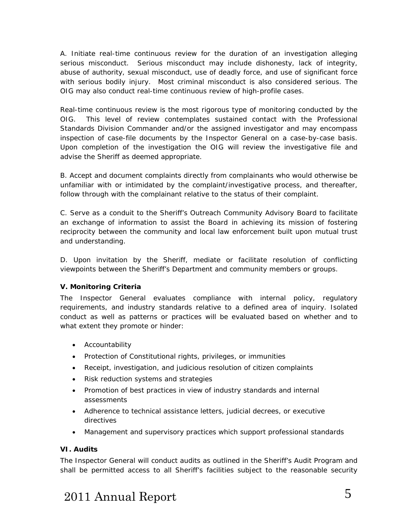A. Initiate *real-time continuous review* for the duration of an investigation alleging serious misconduct. Serious misconduct may include dishonesty, lack of integrity, abuse of authority, sexual misconduct, use of deadly force, and use of significant force with serious bodily injury. Most criminal misconduct is also considered serious. The OIG may also conduct real-time continuous review of high-profile cases.

Real-time continuous review is the most rigorous type of monitoring conducted by the OIG. This level of review contemplates sustained contact with the Professional Standards Division Commander and/or the assigned investigator and may encompass inspection of case-file documents by the Inspector General on a case-by-case basis. Upon completion of the investigation the OIG will review the investigative file and advise the Sheriff as deemed appropriate.

B. Accept and document complaints directly from complainants who would otherwise be unfamiliar with or intimidated by the complaint/investigative process, and thereafter, follow through with the complainant relative to the status of their complaint.

C. Serve as a conduit to the Sheriff's Outreach Community Advisory Board to facilitate an exchange of information to assist the Board in achieving its mission of fostering reciprocity between the community and local law enforcement built upon mutual trust and understanding.

D. Upon invitation by the Sheriff, mediate or facilitate resolution of conflicting viewpoints between the Sheriff's Department and community members or groups.

#### **V. Monitoring Criteria**

The Inspector General evaluates compliance with internal policy, regulatory requirements, and industry standards relative to a defined area of inquiry. Isolated conduct as well as patterns or practices will be evaluated based on whether and to what extent they promote or hinder:

- Accountability
- Protection of Constitutional rights, privileges, or immunities
- Receipt, investigation, and judicious resolution of citizen complaints
- Risk reduction systems and strategies
- Promotion of best practices in view of industry standards and internal assessments
- Adherence to technical assistance letters, judicial decrees, or executive directives
- Management and supervisory practices which support professional standards

#### **VI. Audits**

The Inspector General will conduct audits as outlined in the Sheriff's Audit Program and shall be permitted access to all Sheriff's facilities subject to the reasonable security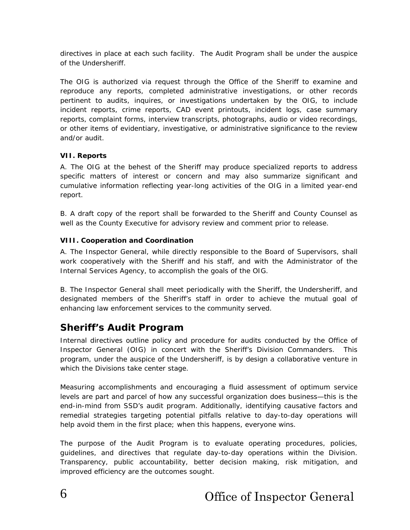directives in place at each such facility. The Audit Program shall be under the auspice of the Undersheriff.

The OIG is authorized via request through the Office of the Sheriff to examine and reproduce any reports, completed administrative investigations, or other records pertinent to audits, inquires, or investigations undertaken by the OIG, to include incident reports, crime reports, CAD event printouts, incident logs, case summary reports, complaint forms, interview transcripts, photographs, audio or video recordings, or other items of evidentiary, investigative, or administrative significance to the review and/or audit.

#### **VII. Reports**

A. The OIG at the behest of the Sheriff may produce specialized reports to address specific matters of interest or concern and may also summarize significant and cumulative information reflecting year-long activities of the OIG in a limited year-end report.

B. A draft copy of the report shall be forwarded to the Sheriff and County Counsel as well as the County Executive for advisory review and comment prior to release.

#### **VIII. Cooperation and Coordination**

A. The Inspector General, while directly responsible to the Board of Supervisors, shall work cooperatively with the Sheriff and his staff, and with the Administrator of the Internal Services Agency, to accomplish the goals of the OIG.

B. The Inspector General shall meet periodically with the Sheriff, the Undersheriff, and designated members of the Sheriff's staff in order to achieve the mutual goal of enhancing law enforcement services to the community served.

### **Sheriff's Audit Program**

Internal directives outline policy and procedure for audits conducted by the Office of Inspector General (OIG) in concert with the Sheriff's Division Commanders. This program, under the auspice of the Undersheriff, is by design a collaborative venture in which the Divisions take center stage.

Measuring accomplishments and encouraging a fluid assessment of optimum service levels are part and parcel of how any successful organization does business—this is the end-in-mind from SSD's audit program. Additionally, identifying causative factors and remedial strategies targeting potential pitfalls relative to day-to-day operations will help avoid them in the first place; when this happens, everyone wins.

The purpose of the Audit Program is to evaluate operating procedures, policies, guidelines, and directives that regulate day-to-day operations within the Division. Transparency, public accountability, better decision making, risk mitigation, and improved efficiency are the outcomes sought.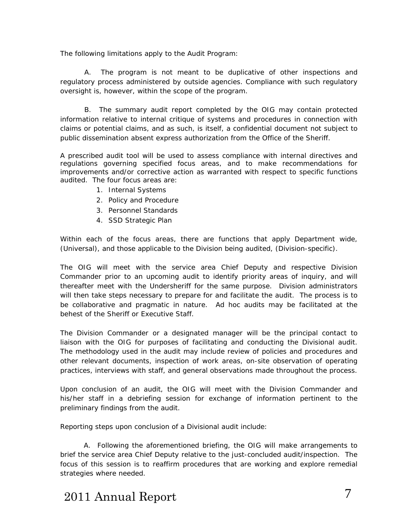The following limitations apply to the Audit Program:

A. The program is not meant to be duplicative of other inspections and regulatory process administered by outside agencies. Compliance with such regulatory oversight is, however, within the scope of the program.

B. The summary audit report completed by the OIG may contain protected information relative to internal critique of systems and procedures in connection with claims or potential claims, and as such, is itself, a confidential document not subject to public dissemination absent express authorization from the Office of the Sheriff.

A prescribed audit tool will be used to assess compliance with internal directives and regulations governing specified focus areas, and to make recommendations for improvements and/or corrective action as warranted with respect to specific functions audited. The four focus areas are:

- 1. Internal Systems
- 2. Policy and Procedure
- 3. Personnel Standards
- 4. SSD Strategic Plan

Within each of the focus areas, there are functions that apply Department wide, (Universal), and those applicable to the Division being audited, (Division-specific).

The OIG will meet with the service area Chief Deputy and respective Division Commander prior to an upcoming audit to identify priority areas of inquiry, and will thereafter meet with the Undersheriff for the same purpose. Division administrators will then take steps necessary to prepare for and facilitate the audit. The process is to be collaborative and pragmatic in nature. Ad hoc audits may be facilitated at the behest of the Sheriff or Executive Staff.

The Division Commander or a designated manager will be the principal contact to liaison with the OIG for purposes of facilitating and conducting the Divisional audit. The methodology used in the audit may include review of policies and procedures and other relevant documents, inspection of work areas, on-site observation of operating practices, interviews with staff, and general observations made throughout the process.

Upon conclusion of an audit, the OIG will meet with the Division Commander and his/her staff in a debriefing session for exchange of information pertinent to the preliminary findings from the audit.

Reporting steps upon conclusion of a Divisional audit include:

 A. Following the aforementioned briefing, the OIG will make arrangements to brief the service area Chief Deputy relative to the just-concluded audit/inspection. The focus of this session is to reaffirm procedures that are working and explore remedial strategies where needed.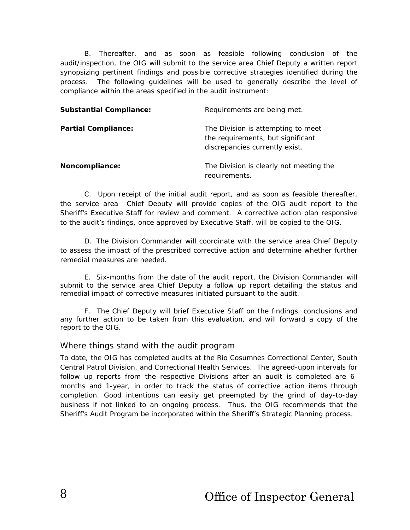B. Thereafter, and as soon as feasible following conclusion of the audit/inspection, the OIG will submit to the service area Chief Deputy a written report synopsizing pertinent findings and possible corrective strategies identified during the process. The following guidelines will be used to generally describe the level of compliance within the areas specified in the audit instrument:

| <b>Substantial Compliance:</b> | Requirements are being met.                                                                               |
|--------------------------------|-----------------------------------------------------------------------------------------------------------|
| <b>Partial Compliance:</b>     | The Division is attempting to meet<br>the requirements, but significant<br>discrepancies currently exist. |
| Noncompliance:                 | The Division is clearly not meeting the<br>requirements.                                                  |

C. Upon receipt of the initial audit report, and as soon as feasible thereafter, the service area Chief Deputy will provide copies of the OIG audit report to the Sheriff's Executive Staff for review and comment. A corrective action plan responsive to the audit's findings, once approved by Executive Staff, will be copied to the OIG.

D. The Division Commander will coordinate with the service area Chief Deputy to assess the impact of the prescribed corrective action and determine whether further remedial measures are needed.

E. Six-months from the date of the audit report, the Division Commander will submit to the service area Chief Deputy a follow up report detailing the status and remedial impact of corrective measures initiated pursuant to the audit.

F. The Chief Deputy will brief Executive Staff on the findings, conclusions and any further action to be taken from this evaluation, and will forward a copy of the report to the OIG.

#### Where things stand with the audit program

To date, the OIG has completed audits at the Rio Cosumnes Correctional Center, South Central Patrol Division, and Correctional Health Services. The agreed-upon intervals for follow up reports from the respective Divisions after an audit is completed are 6 months and 1-year, in order to track the status of corrective action items through completion. Good intentions can easily get preempted by the grind of day-to-day business if not linked to an ongoing process. Thus, the OIG recommends that the Sheriff's Audit Program be incorporated within the Sheriff's Strategic Planning process.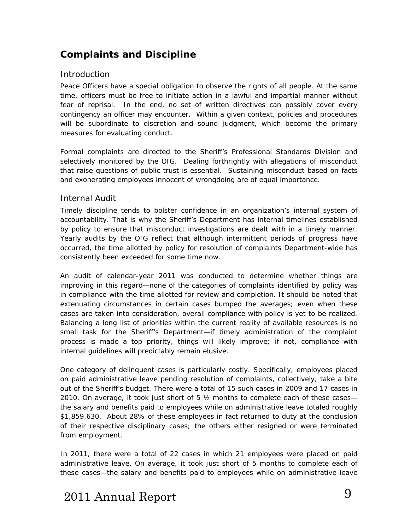### **Complaints and Discipline**

#### <span id="page-9-0"></span>Introduction

Peace Officers have a special obligation to observe the rights of all people. At the same time, officers must be free to initiate action in a lawful and impartial manner without fear of reprisal. In the end, no set of written directives can possibly cover every contingency an officer may encounter. Within a given context, policies and procedures will be subordinate to discretion and sound judgment, which become the primary measures for evaluating conduct.

Formal complaints are directed to the Sheriff's Professional Standards Division and selectively monitored by the OIG. Dealing forthrightly with allegations of misconduct that raise questions of public trust is essential. Sustaining misconduct based on facts and exonerating employees innocent of wrongdoing are of equal importance.

#### Internal Audit

Timely discipline tends to bolster confidence in an organization's internal system of accountability. That is why the Sheriff's Department has internal timelines established by policy to ensure that misconduct investigations are dealt with in a timely manner. Yearly audits by the OIG reflect that although intermittent periods of progress have occurred, the time allotted by policy for resolution of complaints Department-wide has consistently been exceeded for some time now.

An audit of calendar-year 2011 was conducted to determine whether things are improving in this regard—none of the categories of complaints identified by policy was in compliance with the time allotted for review and completion. It should be noted that extenuating circumstances in certain cases bumped the averages; even when these cases are taken into consideration, overall compliance with policy is yet to be realized. Balancing a long list of priorities within the current reality of available resources is no small task for the Sheriff's Department—if timely administration of the complaint process is made a top priority, things will likely improve; if not, compliance with internal guidelines will predictably remain elusive.

One category of delinquent cases is particularly costly. Specifically, employees placed on paid administrative leave pending resolution of complaints, collectively, take a bite out of the Sheriff's budget. There were a total of 15 such cases in 2009 and 17 cases in 2010. On average, it took just short of 5 ½ months to complete *each* of these cases the salary and benefits paid to employees while on administrative leave totaled roughly \$1,859,630. About 28% of these employees in fact returned to duty at the conclusion of their respective disciplinary cases; the others either resigned or were terminated from employment.

In 2011, there were a total of 22 cases in which 21 employees were placed on paid administrative leave. On average, it took just short of 5 months to complete *each* of these cases—the salary and benefits paid to employees while on administrative leave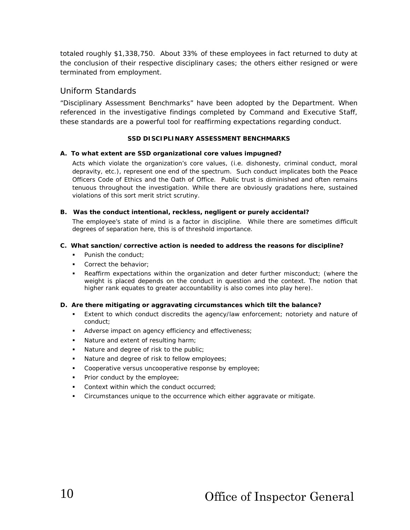totaled roughly \$1,338,750. About 33% of these employees in fact returned to duty at the conclusion of their respective disciplinary cases; the others either resigned or were terminated from employment.

#### Uniform Standards

"Disciplinary Assessment Benchmarks" have been adopted by the Department. When referenced in the investigative findings completed by Command and Executive Staff, these standards are a powerful tool for reaffirming expectations regarding conduct.

#### **SSD DISCIPLINARY ASSESSMENT BENCHMARKS**

#### **A. To what extent are SSD organizational core values impugned?**

Acts which violate the organization's core values, (i.e. dishonesty, criminal conduct, moral depravity, etc.), represent one end of the spectrum. Such conduct implicates both the *Peace Officers Code of Ethics* and the *Oath of Office.* Public trust is diminished and often remains tenuous throughout the investigation. While there are obviously gradations here, sustained violations of this sort merit strict scrutiny.

#### **B. Was the conduct intentional, reckless, negligent or purely accidental?**

The employee's state of mind is a factor in discipline. While there are sometimes difficult degrees of separation here, this is of threshold importance.

#### **C. What sanction/corrective action is needed to address the reasons for discipline?**

- **Punish the conduct:**
- Correct the behavior;
- Reaffirm expectations within the organization and deter further misconduct; (where the weight is placed depends on the conduct in question and the context. The notion that higher rank equates to greater accountability is also comes into play here).

#### **D. Are there mitigating or aggravating circumstances which tilt the balance?**

- Extent to which conduct discredits the agency/law enforcement; notoriety and nature of conduct;
- Adverse impact on agency efficiency and effectiveness;
- Nature and extent of resulting harm;
- Nature and degree of risk to the public;
- Nature and degree of risk to fellow employees;
- **Cooperative versus uncooperative response by employee;**
- **Prior conduct by the employee;**
- **Context within which the conduct occurred;**
- Circumstances unique to the occurrence which either aggravate or mitigate.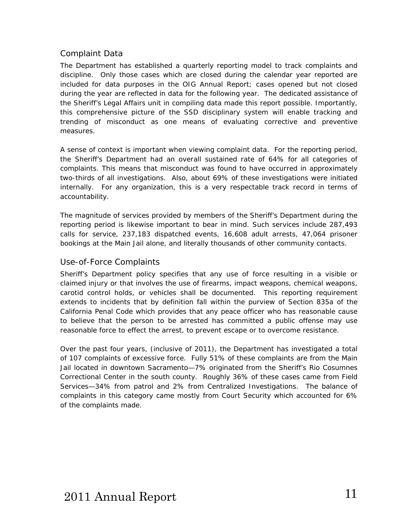#### Complaint Data

The Department has established a quarterly reporting model to track complaints and discipline. Only those cases which are closed during the calendar year reported are included for data purposes in the *OIG Annual Report*; cases opened but not closed during the year are reflected in data for the following year. The dedicated assistance of the Sheriff's Legal Affairs unit in compiling data made this report possible. Importantly, this comprehensive picture of the SSD disciplinary system will enable tracking and trending of misconduct as one means of evaluating corrective and preventive measures.

A sense of context is important when viewing complaint data. For the reporting period, the Sheriff's Department had an overall sustained rate of 64% for all categories of complaints. This means that misconduct was found to have occurred in approximately two-thirds of all investigations. Also, about 69% of these investigations were initiated internally. For any organization, this is a very respectable track record in terms of accountability.

The magnitude of services provided by members of the Sheriff's Department during the reporting period is likewise important to bear in mind. Such services include 287,493 calls for service, 237,183 dispatched events, 16,608 adult arrests, 47,064 prisoner bookings at the Main Jail alone, and literally thousands of other community contacts.

#### <span id="page-11-0"></span>Use-of-Force Complaints

Sheriff's Department policy specifies that any use of force resulting in a visible or claimed injury or that involves the use of firearms, impact weapons, chemical weapons, carotid control holds, or vehicles shall be documented. This reporting requirement extends to incidents that by definition fall within the purview of Section 835a of the California Penal Code which provides that any peace officer who has reasonable cause to believe that the person to be arrested has committed a public offense may use reasonable force to effect the arrest, to prevent escape or to overcome resistance.

Over the past four years, (inclusive of 2011), the Department has investigated a total of 107 complaints of excessive force. Fully 51% of these complaints are from the Main Jail located in downtown Sacramento—7% originated from the Sheriff's Rio Cosumnes Correctional Center in the south county. Roughly 36% of these cases came from Field Services—34% from patrol and 2% from Centralized Investigations. The balance of complaints in this category came mostly from Court Security which accounted for 6% of the complaints made.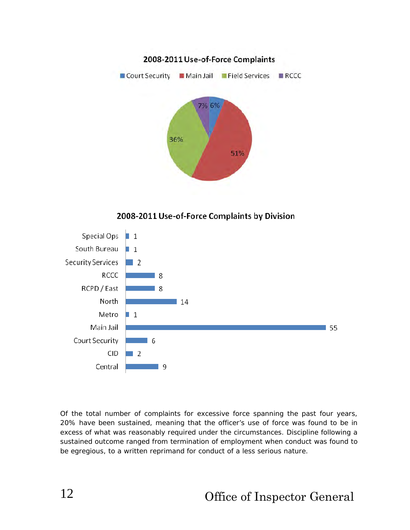

2008-2011 Use-of-Force Complaints by Division



Of the total number of complaints for excessive force spanning the past four years, 20% have been sustained, meaning that the officer's use of force was found to be in excess of what was reasonably required under the circumstances. Discipline following a sustained outcome ranged from termination of employment when conduct was found to be egregious, to a written reprimand for conduct of a less serious nature.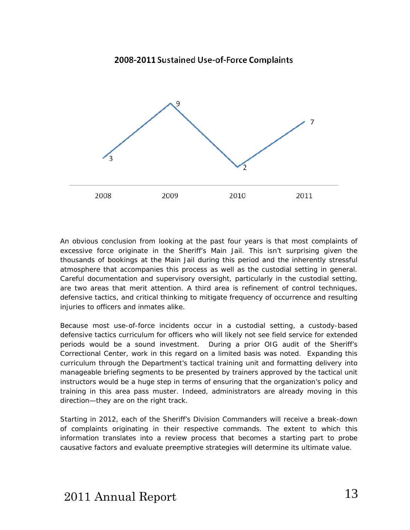

An obvious conclusion from looking at the past four years is that most complaints of excessive force originate in the Sheriff's Main Jail. This isn't surprising given the thousands of bookings at the Main Jail during this period and the inherently stressful atmosphere that accompanies this process as well as the custodial setting in general. Careful documentation and supervisory oversight, particularly in the custodial setting, are two areas that merit attention. A third area is refinement of control techniques, defensive tactics, and critical thinking to mitigate frequency of occurrence and resulting injuries to officers and inmates alike.

Because most use-of-force incidents occur in a custodial setting, a custody-based defensive tactics curriculum for officers who will likely not see field service for extended periods would be a sound investment. During a prior OIG audit of the Sheriff's Correctional Center, work in this regard on a limited basis was noted. Expanding this curriculum through the Department's tactical training unit and formatting delivery into manageable briefing segments to be presented by trainers approved by the tactical unit instructors would be a huge step in terms of ensuring that the organization's policy and training in this area pass muster. Indeed, administrators are already moving in this direction—they are on the right track.

Starting in 2012, each of the Sheriff's Division Commanders will receive a break-down of complaints originating in their respective commands. The extent to which this information translates into a review process that becomes a starting part to probe causative factors and evaluate preemptive strategies will determine its ultimate value.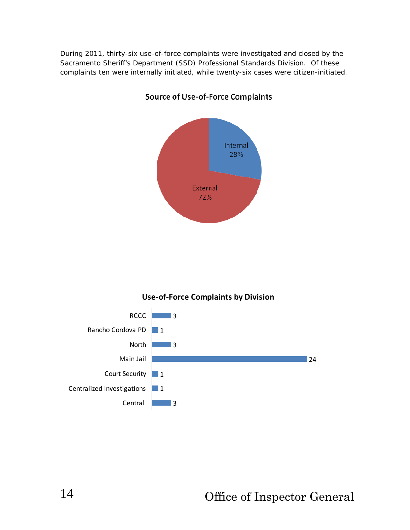During 2011, thirty-six use-of-force complaints were investigated and closed by the Sacramento Sheriff's Department (SSD) Professional Standards Division. Of these complaints ten were internally initiated, while twenty-six cases were citizen-initiated.



#### **Source of Use-of-Force Complaints**



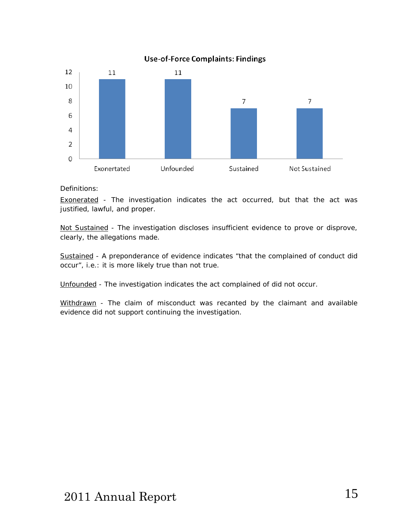

#### Definitions:

Exonerated - The investigation indicates the act occurred, but that the act was justified, lawful, and proper.

Not Sustained - The investigation discloses insufficient evidence to prove or disprove, clearly, the allegations made.

Sustained - A preponderance of evidence indicates "that the complained of conduct did occur", i.e.: it is more likely true than not true.

Unfounded - The investigation indicates the act complained of did not occur.

Withdrawn - The claim of misconduct was recanted by the claimant and available evidence did not support continuing the investigation.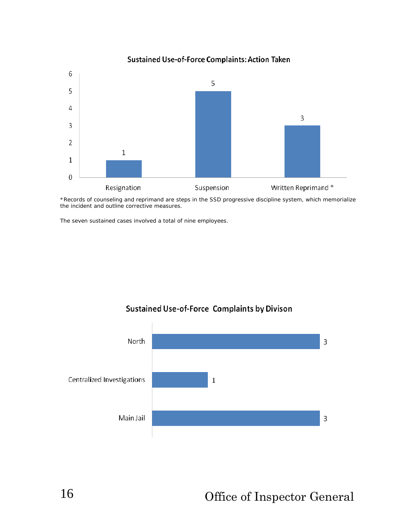

\*Records of counseling and reprimand are steps in the SSD progressive discipline system, which memorialize the incident and outline corrective measures.

The seven sustained cases involved a total of nine employees.



#### Sustained Use-of-Force Complaints by Divison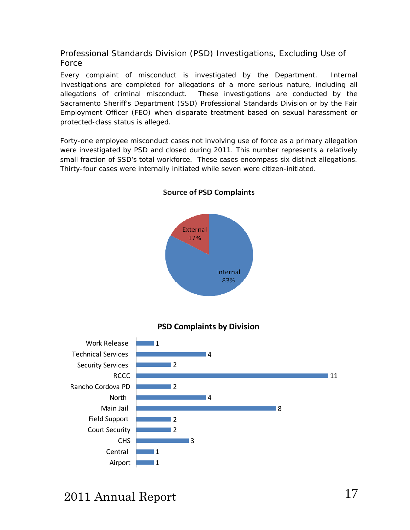<span id="page-17-0"></span>Professional Standards Division (PSD) Investigations, Excluding Use of Force

Every complaint of misconduct is investigated by the Department. Internal investigations are completed for allegations of a more serious nature, including all allegations of criminal misconduct. These investigations are conducted by the Sacramento Sheriff's Department (SSD) Professional Standards Division or by the Fair Employment Officer (FEO) when disparate treatment based on sexual harassment or protected-class status is alleged.

Forty-one employee misconduct cases not involving use of force as a primary allegation were investigated by PSD and closed during 2011. This number represents a relatively small fraction of SSD's total workforce. These cases encompass six distinct allegations. Thirty-four cases were internally initiated while seven were citizen-initiated.



#### **Source of PSD Complaints**

#### **PSD Complaints by Division**

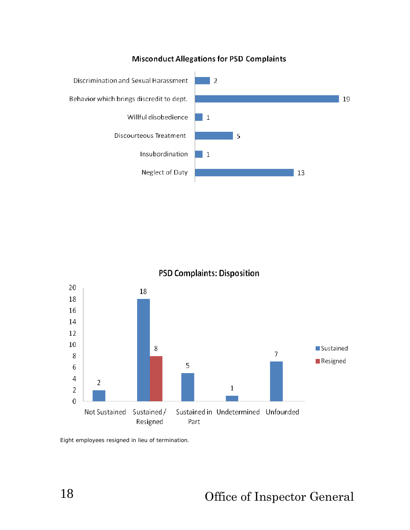#### **Misconduct Allegations for PSD Complaints**



**PSD Complaints: Disposition** 



Eight employees resigned in lieu of termination.

18 Office of Inspector General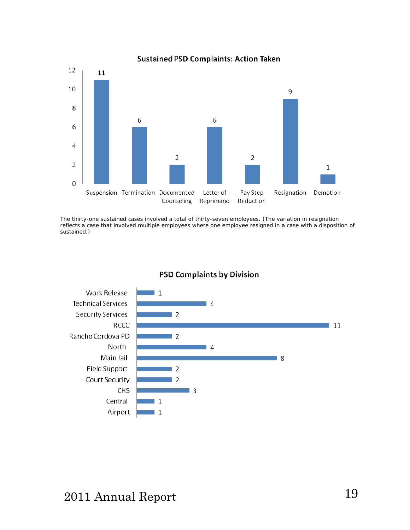

#### **Sustained PSD Complaints: Action Taken**

The thirty-one sustained cases involved a total of thirty-seven employees. (The variation in resignation reflects a case that involved multiple employees where one employee resigned in a case with a disposition of sustained.)



#### **PSD Complaints by Division**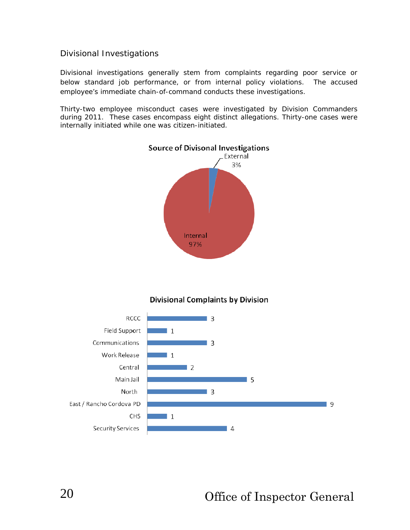#### <span id="page-20-0"></span>Divisional Investigations

Divisional investigations generally stem from complaints regarding poor service or below standard job performance, or from internal policy violations. The accused employee's immediate chain-of-command conducts these investigations.

Thirty-two employee misconduct cases were investigated by Division Commanders during 2011. These cases encompass eight distinct allegations. Thirty-one cases were internally initiated while one was citizen-initiated.



#### **Divisional Complaints by Division**

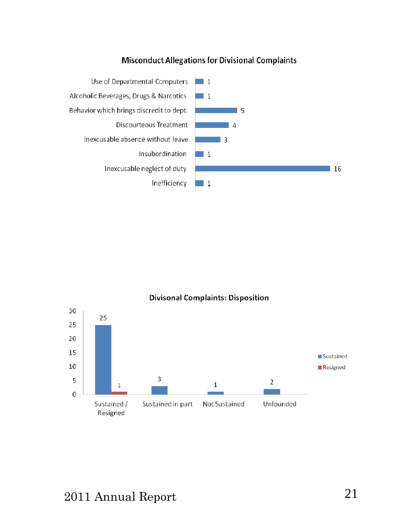#### **Misconduct Allegations for Divisional Complaints**



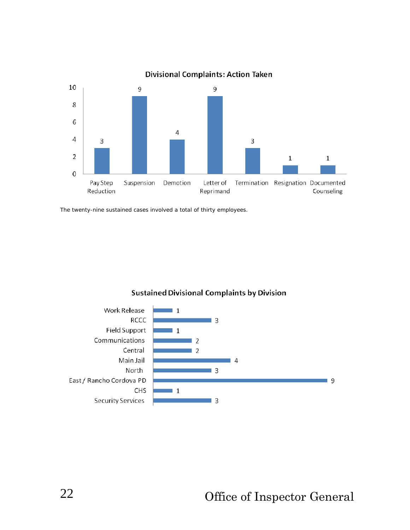

**Divisional Complaints: Action Taken** 

The twenty-nine sustained cases involved a total of thirty employees.



**Sustained Divisional Complaints by Division**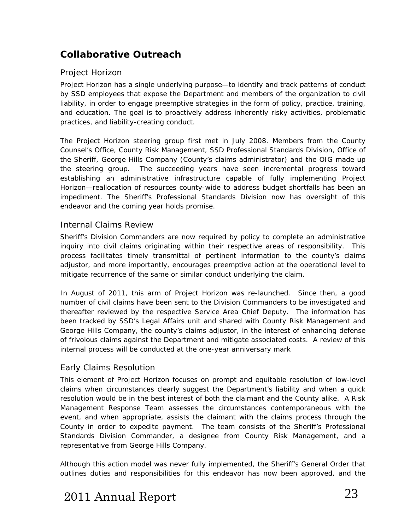### **Collaborative Outreach**

#### Project Horizon

*Project Horizon* has a single underlying purpose—to identify and track patterns of conduct by SSD employees that expose the Department and members of the organization to civil liability, in order to engage preemptive strategies in the form of policy, practice, training, and education. The goal is to proactively address inherently risky activities, problematic practices, and liability-creating conduct.

The *Project Horizon* steering group first met in July 2008. Members from the County Counsel's Office, County Risk Management, SSD Professional Standards Division, Office of the Sheriff, George Hills Company (County's claims administrator) and the OIG made up the steering group. The succeeding years have seen incremental progress toward establishing an administrative infrastructure capable of fully implementing Project Horizon—reallocation of resources county-wide to address budget shortfalls has been an impediment. The Sheriff's Professional Standards Division now has oversight of this endeavor and the coming year holds promise.

#### Internal Claims Review

Sheriff's Division Commanders are now required by policy to complete an administrative inquiry into civil claims originating within their respective areas of responsibility. This process facilitates timely transmittal of pertinent information to the county's claims adjustor, and more importantly, encourages preemptive action at the operational level to mitigate recurrence of the same or similar conduct underlying the claim.

In August of 2011, this arm of Project Horizon was re-launched. Since then, a good number of civil claims have been sent to the Division Commanders to be investigated and thereafter reviewed by the respective Service Area Chief Deputy. The information has been tracked by SSD's Legal Affairs unit and shared with County Risk Management and George Hills Company, the county's claims adjustor, in the interest of enhancing defense of frivolous claims against the Department and mitigate associated costs. A review of this internal process will be conducted at the one-year anniversary mark

#### Early Claims Resolution

This element of Project Horizon focuses on prompt and equitable resolution of low-level claims when circumstances clearly suggest the Department's liability and when a quick resolution would be in the best interest of both the claimant and the County alike. A Risk Management Response Team assesses the circumstances contemporaneous with the event, and when appropriate, assists the claimant with the claims process through the County in order to expedite payment. The team consists of the Sheriff's Professional Standards Division Commander, a designee from County Risk Management, and a representative from George Hills Company.

Although this action model was never fully implemented, the Sheriff's General Order that outlines duties and responsibilities for this endeavor has now been approved, and the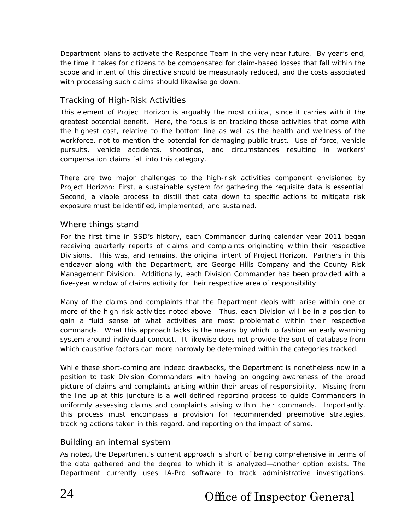Department plans to activate the Response Team in the very near future. By year's end, the time it takes for citizens to be compensated for claim-based losses that fall within the scope and intent of this directive should be measurably reduced, and the costs associated with processing such claims should likewise go down.

#### Tracking of High-Risk Activities

This element of Project Horizon is arguably the most critical, since it carries with it the greatest potential benefit. Here, the focus is on tracking those activities that come with the highest cost, relative to the bottom line as well as the health and wellness of the workforce, not to mention the potential for damaging public trust. Use of force, vehicle pursuits, vehicle accidents, shootings, and circumstances resulting in workers' compensation claims fall into this category.

There are two major challenges to the high-risk activities component envisioned by Project Horizon: First, a sustainable system for gathering the requisite data is essential. Second, a viable process to distill that data down to specific actions to mitigate risk exposure must be identified, implemented, and sustained.

#### Where things stand

For the first time in SSD's history, each Commander during calendar year 2011 began receiving quarterly reports of claims and complaints originating within their respective Divisions. This was, and remains, the original intent of *Project Horizon.* Partners in this endeavor along with the Department, are George Hills Company and the County Risk Management Division. Additionally, each Division Commander has been provided with a five-year window of claims activity for their respective area of responsibility.

Many of the claims and complaints that the Department deals with arise within one or more of the high-risk activities noted above. Thus, each Division will be in a position to gain a fluid sense of what activities are most problematic within their respective commands. What this approach lacks is the means by which to fashion an early warning system around individual conduct. It likewise does not provide the sort of database from which causative factors can more narrowly be determined within the categories tracked.

While these short-coming are indeed drawbacks, the Department is nonetheless now in a position to task Division Commanders with having an ongoing awareness of the broad picture of claims and complaints arising within their areas of responsibility. Missing from the line-up at this juncture is a well-defined reporting process to guide Commanders in uniformly assessing claims and complaints arising within their commands. Importantly, this process must encompass a provision for recommended preemptive strategies, tracking actions taken in this regard, and reporting on the impact of same.

#### Building an internal system

As noted, the Department's current approach is short of being comprehensive in terms of the data gathered and the degree to which it is analyzed—another option exists. The Department currently uses IA-Pro software to track administrative investigations,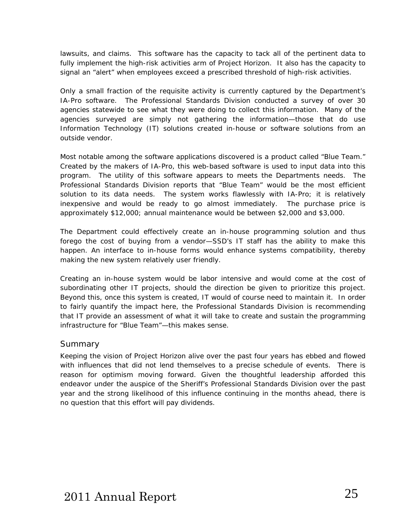lawsuits, and claims. This software has the capacity to tack all of the pertinent data to fully implement the high-risk activities arm of Project Horizon. It also has the capacity to signal an "alert" when employees exceed a prescribed threshold of high-risk activities.

Only a small fraction of the requisite activity is currently captured by the Department's IA-Pro software. The Professional Standards Division conducted a survey of over 30 agencies statewide to see what they were doing to collect this information. Many of the agencies surveyed are simply not gathering the information—those that do use Information Technology (IT) solutions created in-house or software solutions from an outside vendor.

Most notable among the software applications discovered is a product called "Blue Team." Created by the makers of IA-Pro, this web-based software is used to input data into this program. The utility of this software appears to meets the Departments needs. The Professional Standards Division reports that "Blue Team" would be the most efficient solution to its data needs. The system works flawlessly with IA-Pro; it is relatively inexpensive and would be ready to go almost immediately. The purchase price is approximately \$12,000; annual maintenance would be between \$2,000 and \$3,000.

The Department could effectively create an in-house programming solution and thus forego the cost of buying from a vendor—SSD's IT staff has the ability to make this happen. An interface to in-house forms would enhance systems compatibility, thereby making the new system relatively user friendly.

Creating an in-house system would be labor intensive and would come at the cost of subordinating other IT projects, should the direction be given to prioritize this project. Beyond this, once this system is created, IT would of course need to maintain it. In order to fairly quantify the impact here, the Professional Standards Division is recommending that IT provide an assessment of what it will take to create and sustain the programming infrastructure for "Blue Team"—this makes sense.

#### Summary

Keeping the vision of Project Horizon alive over the past four years has ebbed and flowed with influences that did not lend themselves to a precise schedule of events. There is reason for optimism moving forward. Given the thoughtful leadership afforded this endeavor under the auspice of the Sheriff's Professional Standards Division over the past year and the strong likelihood of this influence continuing in the months ahead, there is no question that this effort will pay dividends.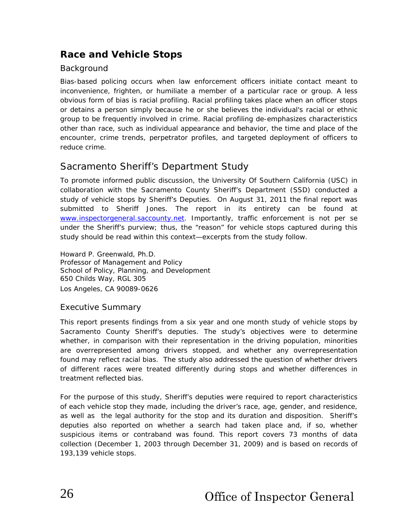### **Race and Vehicle Stops**

#### Background

Bias-based policing occurs when law enforcement officers initiate contact meant to inconvenience, frighten, or humiliate a member of a particular race or group. A less obvious form of bias is *racial profiling.* Racial profiling takes place when an officer stops or detains a person simply because he or she believes the individual's racial or ethnic group to be frequently involved in crime. Racial profiling de-emphasizes characteristics other than race, such as individual appearance and behavior, the time and place of the encounter, crime trends, perpetrator profiles, and targeted deployment of officers to reduce crime.

### Sacramento Sheriff's Department Study

To promote informed public discussion, the University Of Southern California (USC) in collaboration with the Sacramento County Sheriff's Department (SSD) conducted a study of vehicle stops by Sheriff's Deputies. On August 31, 2011 the final report was submitted to Sheriff Jones. The report in its entirety can be found at [www.inspectorgeneral.saccounty.net](http://www.inspectorgeneral.saccounty.net/). Importantly, traffic enforcement is not per se under the Sheriff's purview; thus, the "reason" for vehicle stops captured during this study should be read within this context—excerpts from the study follow.

Howard P. Greenwald, Ph.D. Professor of Management and Policy School of Policy, Planning, and Development 650 Childs Way, RGL 305 Los Angeles, CA 90089-0626

#### Executive Summary

This report presents findings from a six year and one month study of vehicle stops by Sacramento County Sheriff's deputies. The study's objectives were to determine whether, in comparison with their representation in the driving population, minorities are overrepresented among drivers stopped, and whether any overrepresentation found may reflect racial bias. The study also addressed the question of whether drivers of different races were treated differently during stops and whether differences in treatment reflected bias.

<span id="page-26-0"></span>For the purpose of this study, Sheriff's deputies were required to report characteristics of each vehicle stop they made, including the driver's race, age, gender, and residence, as well as the legal authority for the stop and its duration and disposition. Sheriff's deputies also reported on whether a search had taken place and, if so, whether suspicious items or contraband was found. This report covers 73 months of data collection (December 1, 2003 through December 31, 2009) and is based on records of 193,139 vehicle stops.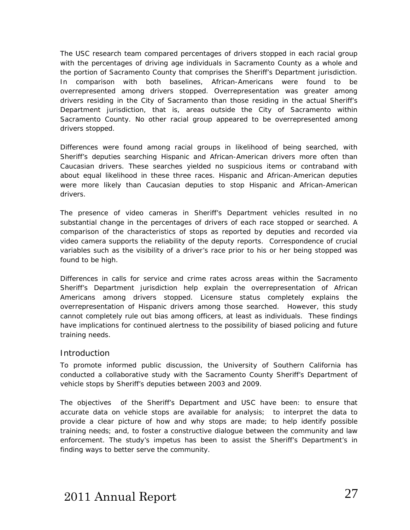The USC research team compared percentages of drivers stopped in each racial group with the percentages of driving age individuals in Sacramento County as a whole and the portion of Sacramento County that comprises the Sheriff's Department jurisdiction. In comparison with both baselines, African-Americans were found to be overrepresented among drivers stopped. Overrepresentation was greater among drivers residing in the City of Sacramento than those residing in the actual Sheriff's Department jurisdiction, that is, areas outside the City of Sacramento within Sacramento County. No other racial group appeared to be overrepresented among drivers stopped.

Differences were found among racial groups in likelihood of being searched, with Sheriff's deputies searching Hispanic and African-American drivers more often than Caucasian drivers. These searches yielded no suspicious items or contraband with about equal likelihood in these three races. Hispanic and African-American deputies were more likely than Caucasian deputies to stop Hispanic and African-American drivers.

The presence of video cameras in Sheriff's Department vehicles resulted in no substantial change in the percentages of drivers of each race stopped or searched. A comparison of the characteristics of stops as reported by deputies and recorded via video camera supports the reliability of the deputy reports. Correspondence of crucial variables such as the visibility of a driver's race prior to his or her being stopped was found to be high.

Differences in calls for service and crime rates across areas within the Sacramento Sheriff's Department jurisdiction help explain the overrepresentation of African Americans among drivers stopped. Licensure status completely explains the overrepresentation of Hispanic drivers among those searched. However, this study cannot completely rule out bias among officers, at least as individuals. These findings have implications for continued alertness to the possibility of biased policing and future training needs.

#### **Introduction**

To promote informed public discussion, the University of Southern California has conducted a collaborative study with the Sacramento County Sheriff's Department of vehicle stops by Sheriff's deputies between 2003 and 2009.

The objectives of the Sheriff's Department and USC have been: to ensure that accurate data on vehicle stops are available for analysis; to interpret the data to provide a clear picture of how and why stops are made; to help identify possible training needs; and, to foster a constructive dialogue between the community and law enforcement. The study's impetus has been to assist the Sheriff's Department's in finding ways to better serve the community.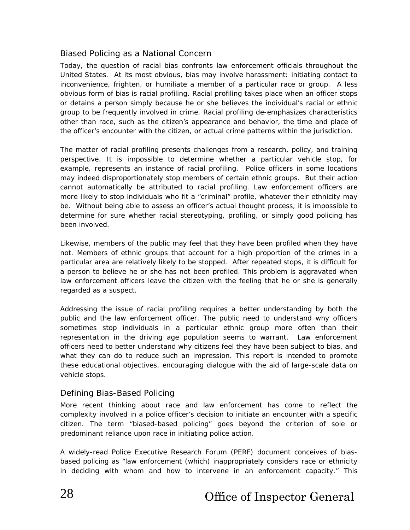#### Biased Policing as a National Concern

Today, the question of racial bias confronts law enforcement officials throughout the United States. At its most obvious, bias may involve *harassment*: initiating contact to inconvenience, frighten, or humiliate a member of a particular race or group. A less obvious form of bias is *racial profiling*. Racial profiling takes place when an officer stops or detains a person simply because he or she believes the individual's racial or ethnic group to be frequently involved in crime. Racial profiling de-emphasizes characteristics other than race, such as the citizen's appearance and behavior, the time and place of the officer's encounter with the citizen, or actual crime patterns within the jurisdiction.

The matter of racial profiling presents challenges from a research, policy, and training perspective. It is impossible to determine whether a particular vehicle stop, for example, represents an instance of racial profiling. Police officers in some locations may indeed disproportionately stop members of certain ethnic groups. But their action cannot automatically be attributed to racial profiling. Law enforcement officers are more likely to stop individuals who fit a "criminal" profile, whatever their ethnicity may be. Without being able to assess an officer's actual thought process, it is impossible to determine for sure whether racial stereotyping, profiling, or simply good policing has been involved.

Likewise, members of the public may feel that they have been profiled when they have not. Members of ethnic groups that account for a high proportion of the crimes in a particular area are relatively likely to be stopped. After repeated stops, it is difficult for a person to believe he or she has *not* been profiled. This problem is aggravated when law enforcement officers leave the citizen with the feeling that he or she is generally regarded as a suspect.

Addressing the issue of racial profiling requires a better understanding by both the public and the law enforcement officer. The public need to understand why officers sometimes stop individuals in a particular ethnic group more often than their representation in the driving age population seems to warrant. Law enforcement officers need to better understand why citizens feel they have been subject to bias, and what they can do to reduce such an impression. This report is intended to promote these educational objectives, encouraging dialogue with the aid of large-scale data on vehicle stops.

#### Defining Bias-Based Policing

More recent thinking about race and law enforcement has come to reflect the complexity involved in a police officer's decision to initiate an encounter with a specific citizen. The term "biased-based policing" goes beyond the criterion of sole or predominant reliance upon race in initiating police action.

A widely-read Police Executive Research Forum (PERF) document conceives of biasbased policing as "law enforcement (which) inappropriately considers race or ethnicity in deciding with whom and how to intervene in an enforcement capacity." This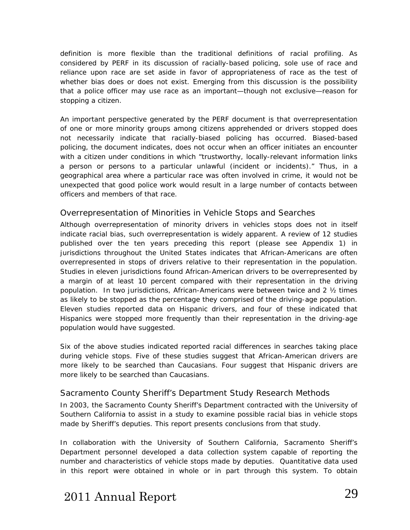definition is more flexible than the traditional definitions of racial profiling. As considered by PERF in its discussion of racially-based policing, *sole* use of race and *reliance* upon race are set aside in favor of *appropriateness* of race as the test of whether bias does or does not exist. Emerging from this discussion is the possibility that a police officer may use race as an important—though not exclusive—reason for stopping a citizen.

An important perspective generated by the PERF document is that overrepresentation of one or more minority groups among citizens apprehended or drivers stopped does not necessarily indicate that racially-biased policing has occurred. Biased-based policing, the document indicates, does not occur when an officer initiates an encounter with a citizen under conditions in which "trustworthy, locally-relevant information links a person or persons to a particular unlawful (incident or incidents)." Thus, in a geographical area where a particular race was often involved in crime, it would not be unexpected that good police work would result in a large number of contacts between officers and members of that race.

#### Overrepresentation of Minorities in Vehicle Stops and Searches

Although overrepresentation of minority drivers in vehicles stops does not in itself indicate racial bias, such overrepresentation is widely apparent. A review of 12 studies published over the ten years preceding this report (please see *Appendix 1*) in jurisdictions throughout the United States indicates that African-Americans are often overrepresented in stops of drivers relative to their representation in the population. Studies in eleven jurisdictions found African-American drivers to be overrepresented by a margin of at least 10 percent compared with their representation in the driving population. In two jurisdictions, African-Americans were between twice and 2 ½ times as likely to be stopped as the percentage they comprised of the driving-age population. Eleven studies reported data on Hispanic drivers, and four of these indicated that Hispanics were stopped more frequently than their representation in the driving-age population would have suggested.

Six of the above studies indicated reported racial differences in searches taking place during vehicle stops. Five of these studies suggest that African-American drivers are more likely to be searched than Caucasians. Four suggest that Hispanic drivers are more likely to be searched than Caucasians.

#### Sacramento County Sheriff's Department Study Research Methods

In 2003, the Sacramento County Sheriff's Department contracted with the University of Southern California to assist in a study to examine possible racial bias in vehicle stops made by Sheriff's deputies. This report presents conclusions from that study.

In collaboration with the University of Southern California, Sacramento Sheriff's Department personnel developed a data collection system capable of reporting the number and characteristics of vehicle stops made by deputies. Quantitative data used in this report were obtained in whole or in part through this system. To obtain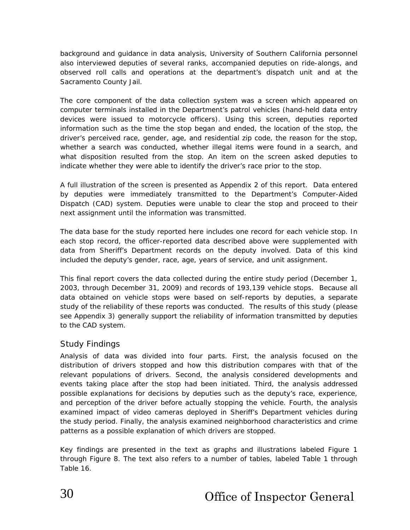background and guidance in data analysis, University of Southern California personnel also interviewed deputies of several ranks, accompanied deputies on ride-alongs, and observed roll calls and operations at the department's dispatch unit and at the Sacramento County Jail.

The core component of the data collection system was a screen which appeared on computer terminals installed in the Department's patrol vehicles (hand-held data entry devices were issued to motorcycle officers). Using this screen, deputies reported information such as the time the stop began and ended, the location of the stop, the driver's perceived race, gender, age, and residential zip code, the reason for the stop, whether a search was conducted, whether illegal items were found in a search, and what disposition resulted from the stop. An item on the screen asked deputies to indicate whether they were able to identify the driver's race prior to the stop.

A full illustration of the screen is presented as *Appendix 2* of this report. Data entered by deputies were immediately transmitted to the Department's Computer-Aided Dispatch (CAD) system. Deputies were unable to clear the stop and proceed to their next assignment until the information was transmitted.

The data base for the study reported here includes one record for each vehicle stop. In each stop record, the officer-reported data described above were supplemented with data from Sheriff's Department records on the deputy involved. Data of this kind included the deputy's gender, race, age, years of service, and unit assignment.

This final report covers the data collected during the entire study period (December 1, 2003, through December 31, 2009) and records of 193,139 vehicle stops. Because all data obtained on vehicle stops were based on self-reports by deputies, a separate study of the reliability of these reports was conducted. The results of this study (please see *Appendix 3*) generally support the reliability of information transmitted by deputies to the CAD system.

#### Study Findings

Analysis of data was divided into four parts. First, the analysis focused on the distribution of drivers stopped and how this distribution compares with that of the relevant populations of drivers. Second, the analysis considered developments and events taking place after the stop had been initiated. Third, the analysis addressed possible explanations for decisions by deputies such as the deputy's race, experience, and perception of the driver before actually stopping the vehicle. Fourth, the analysis examined impact of video cameras deployed in Sheriff's Department vehicles during the study period. Finally, the analysis examined neighborhood characteristics and crime patterns as a possible explanation of which drivers are stopped.

Key findings are presented in the text as graphs and illustrations labeled Figure 1 through Figure 8. The text also refers to a number of tables, labeled Table 1 through Table 16.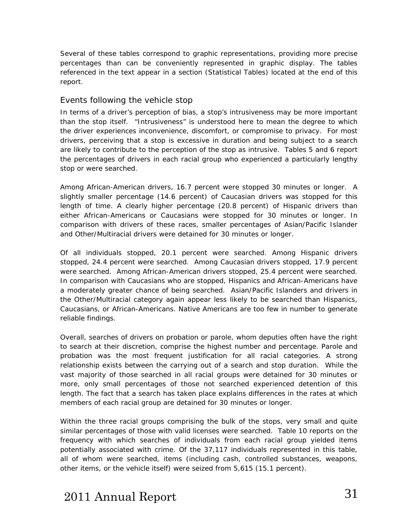Several of these tables correspond to graphic representations, providing more precise percentages than can be conveniently represented in graphic display. The tables referenced in the text appear in a section (*Statistical Tables*) located at the end of this report.

#### Events following the vehicle stop

In terms of a driver's perception of bias, a stop's intrusiveness may be more important than the stop itself. "Intrusiveness" is understood here to mean the degree to which the driver experiences inconvenience, discomfort, or compromise to privacy. For most drivers, perceiving that a stop is excessive in duration and being subject to a search are likely to contribute to the perception of the stop as intrusive. Tables 5 and 6 report the percentages of drivers in each racial group who experienced a particularly lengthy stop or were searched.

Among African-American drivers, 16.7 percent were stopped 30 minutes or longer. A slightly smaller percentage (14.6 percent) of Caucasian drivers was stopped for this length of time. A clearly higher percentage (20.8 percent) of Hispanic drivers than either African-Americans or Caucasians were stopped for 30 minutes or longer. In comparison with drivers of these races, smaller percentages of Asian/Pacific Islander and Other/Multiracial drivers were detained for 30 minutes or longer.

Of all individuals stopped, 20.1 percent were searched. Among Hispanic drivers stopped, 24.4 percent were searched. Among Caucasian drivers stopped, 17.9 percent were searched. Among African-American drivers stopped, 25.4 percent were searched. In comparison with Caucasians who are stopped, Hispanics and African-Americans have a moderately greater chance of being searched. Asian/Pacific Islanders and drivers in the Other/Multiracial category again appear less likely to be searched than Hispanics, Caucasians, or African-Americans. Native Americans are too few in number to generate reliable findings.

Overall, searches of drivers on probation or parole, whom deputies often have the right to search at their discretion, comprise the highest number and percentage. Parole and probation was the most frequent justification for all racial categories. A strong relationship exists between the carrying out of a search and stop duration. While the vast majority of those searched in all racial groups were detained for 30 minutes or more, only small percentages of those not searched experienced detention of this length. The fact that a search has taken place explains differences in the rates at which members of each racial group are detained for 30 minutes or longer.

Within the three racial groups comprising the bulk of the stops, very small and quite similar percentages of those with valid licenses were searched. Table 10 reports on the frequency with which searches of individuals from each racial group yielded items potentially associated with crime. Of the 37,117 individuals represented in this table, all of whom were searched, items (including cash, controlled substances, weapons, other items, or the vehicle itself) were seized from 5,615 (15.1 percent).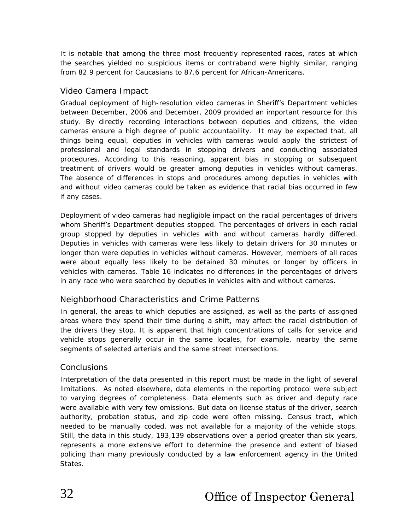It is notable that among the three most frequently represented races, rates at which the searches yielded no suspicious items or contraband were highly similar, ranging from 82.9 percent for Caucasians to 87.6 percent for African-Americans.

#### Video Camera Impact

Gradual deployment of high-resolution video cameras in Sheriff's Department vehicles between December, 2006 and December, 2009 provided an important resource for this study. By directly recording interactions between deputies and citizens, the video cameras ensure a high degree of public accountability. It may be expected that, all things being equal, deputies in vehicles with cameras would apply the strictest of professional and legal standards in stopping drivers and conducting associated procedures. According to this reasoning, apparent bias in stopping or subsequent treatment of drivers would be greater among deputies in vehicles without cameras. The absence of differences in stops and procedures among deputies in vehicles with and without video cameras could be taken as evidence that racial bias occurred in few if any cases.

Deployment of video cameras had negligible impact on the racial percentages of drivers whom Sheriff's Department deputies stopped. The percentages of drivers in each racial group stopped by deputies in vehicles with and without cameras hardly differed. Deputies in vehicles with cameras were less likely to detain drivers for 30 minutes or longer than were deputies in vehicles without cameras. However, members of all races were about equally less likely to be detained 30 minutes or longer by officers in vehicles with cameras. Table 16 indicates no differences in the percentages of drivers in any race who were searched by deputies in vehicles with and without cameras.

#### Neighborhood Characteristics and Crime Patterns

In general, the areas to which deputies are assigned, as well as the parts of assigned areas where they spend their time during a shift, may affect the racial distribution of the drivers they stop. It is apparent that high concentrations of calls for service and vehicle stops generally occur in the same locales, for example, nearby the same segments of selected arterials and the same street intersections.

#### **Conclusions**

Interpretation of the data presented in this report must be made in the light of several limitations. As noted elsewhere, data elements in the reporting protocol were subject to varying degrees of completeness. Data elements such as driver and deputy race were available with very few omissions. But data on license status of the driver, search authority, probation status, and zip code were often missing. Census tract, which needed to be manually coded, was not available for a majority of the vehicle stops. Still, the data in this study, 193,139 observations over a period greater than six years, represents a more extensive effort to determine the presence and extent of biased policing than many previously conducted by a law enforcement agency in the United States.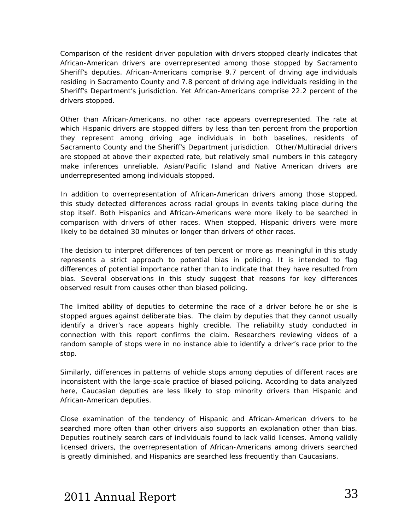Comparison of the resident driver population with drivers stopped clearly indicates that African-American drivers are overrepresented among those stopped by Sacramento Sheriff's deputies. African-Americans comprise 9.7 percent of driving age individuals residing in Sacramento County and 7.8 percent of driving age individuals residing in the Sheriff's Department's jurisdiction. Yet African-Americans comprise 22.2 percent of the drivers stopped.

Other than African-Americans, no other race appears overrepresented. The rate at which Hispanic drivers are stopped differs by less than ten percent from the proportion they represent among driving age individuals in both baselines, residents of Sacramento County and the Sheriff's Department jurisdiction. Other/Multiracial drivers are stopped at above their expected rate, but relatively small numbers in this category make inferences unreliable. Asian/Pacific Island and Native American drivers are underrepresented among individuals stopped.

In addition to overrepresentation of African-American drivers among those stopped, this study detected differences across racial groups in events taking place during the stop itself. Both Hispanics and African-Americans were more likely to be searched in comparison with drivers of other races. When stopped, Hispanic drivers were more likely to be detained 30 minutes or longer than drivers of other races.

The decision to interpret differences of ten percent or more as meaningful in this study represents a strict approach to potential bias in policing. It is intended to flag differences of potential importance rather than to indicate that they have resulted from bias. Several observations in this study suggest that reasons for key differences observed result from causes other than biased policing.

The limited ability of deputies to determine the race of a driver before he or she is stopped argues against deliberate bias. The claim by deputies that they cannot usually identify a driver's race appears highly credible. The reliability study conducted in connection with this report confirms the claim. Researchers reviewing videos of a random sample of stops were in no instance able to identify a driver's race prior to the stop.

Similarly, differences in patterns of vehicle stops among deputies of different races are inconsistent with the large-scale practice of biased policing. According to data analyzed here, Caucasian deputies are less likely to stop minority drivers than Hispanic and African-American deputies.

Close examination of the tendency of Hispanic and African-American drivers to be searched more often than other drivers also supports an explanation other than bias. Deputies routinely search cars of individuals found to lack valid licenses. Among validly licensed drivers, the overrepresentation of African-Americans among drivers searched is greatly diminished, and Hispanics are searched *less* frequently than Caucasians.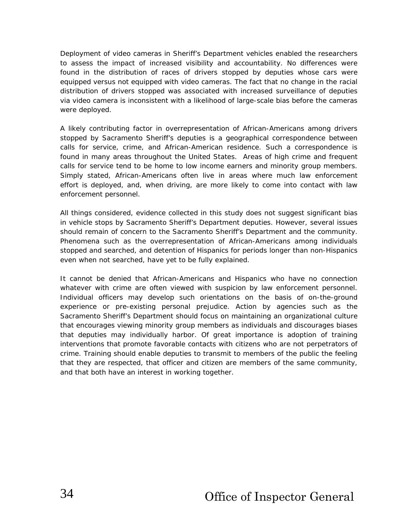Deployment of video cameras in Sheriff's Department vehicles enabled the researchers to assess the impact of increased visibility and accountability. No differences were found in the distribution of races of drivers stopped by deputies whose cars were equipped *versus* not equipped with video cameras. The fact that no change in the racial distribution of drivers stopped was associated with increased surveillance of deputies *via* video camera is inconsistent with a likelihood of large-scale bias before the cameras were deployed.

A likely contributing factor in overrepresentation of African-Americans among drivers stopped by Sacramento Sheriff's deputies is a geographical correspondence between calls for service, crime, and African-American residence. Such a correspondence is found in many areas throughout the United States. Areas of high crime and frequent calls for service tend to be home to low income earners and minority group members. Simply stated, African-Americans often live in areas where much law enforcement effort is deployed, and, when driving, are more likely to come into contact with law enforcement personnel.

All things considered, evidence collected in this study does not suggest significant bias in vehicle stops by Sacramento Sheriff's Department deputies. However, several issues should remain of concern to the Sacramento Sheriff's Department and the community. Phenomena such as the overrepresentation of African-Americans among individuals stopped and searched, and detention of Hispanics for periods longer than non-Hispanics even when not searched, have yet to be fully explained.

It cannot be denied that African-Americans and Hispanics who have no connection whatever with crime are often viewed with suspicion by law enforcement personnel. Individual officers may develop such orientations on the basis of on-the-ground experience or pre-existing personal prejudice. Action by agencies such as the Sacramento Sheriff's Department should focus on maintaining an organizational culture that encourages viewing minority group members as individuals and discourages biases that deputies may individually harbor. Of great importance is adoption of training interventions that promote favorable contacts with citizens who are not perpetrators of crime. Training should enable deputies to transmit to members of the public the feeling that they are respected, that officer and citizen are members of the same community, and that both have an interest in working together.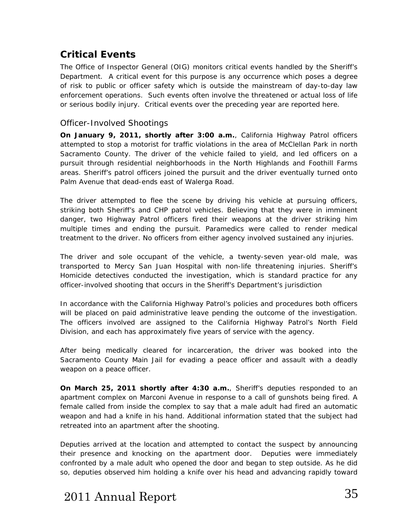### <span id="page-35-0"></span>**Critical Events**

The Office of Inspector General (OIG) monitors critical events handled by the Sheriff's Department. A critical event for this purpose is any occurrence which poses a degree of risk to public or officer safety which is outside the mainstream of day-to-day law enforcement operations. Such events often involve the threatened or actual loss of life or serious bodily injury. Critical events over the preceding year are reported here.

#### Officer-Involved Shootings

**On January 9, 2011, shortly after 3:00 a.m.**, California Highway Patrol officers attempted to stop a motorist for traffic violations in the area of McClellan Park in north Sacramento County. The driver of the vehicle failed to yield, and led officers on a pursuit through residential neighborhoods in the North Highlands and Foothill Farms areas. Sheriff's patrol officers joined the pursuit and the driver eventually turned onto Palm Avenue that dead-ends east of Walerga Road.

The driver attempted to flee the scene by driving his vehicle at pursuing officers, striking both Sheriff's and CHP patrol vehicles. Believing that they were in imminent danger, two Highway Patrol officers fired their weapons at the driver striking him multiple times and ending the pursuit. Paramedics were called to render medical treatment to the driver. No officers from either agency involved sustained any injuries.

The driver and sole occupant of the vehicle, a twenty-seven year-old male, was transported to Mercy San Juan Hospital with non-life threatening injuries. Sheriff's Homicide detectives conducted the investigation, which is standard practice for any officer-involved shooting that occurs in the Sheriff's Department's jurisdiction

In accordance with the California Highway Patrol's policies and procedures both officers will be placed on paid administrative leave pending the outcome of the investigation. The officers involved are assigned to the California Highway Patrol's North Field Division, and each has approximately five years of service with the agency.

After being medically cleared for incarceration, the driver was booked into the Sacramento County Main Jail for evading a peace officer and assault with a deadly weapon on a peace officer.

**On March 25, 2011 shortly after 4:30 a.m.**, Sheriff's deputies responded to an apartment complex on Marconi Avenue in response to a call of gunshots being fired. A female called from inside the complex to say that a male adult had fired an automatic weapon and had a knife in his hand. Additional information stated that the subject had retreated into an apartment after the shooting.

Deputies arrived at the location and attempted to contact the suspect by announcing their presence and knocking on the apartment door. Deputies were immediately confronted by a male adult who opened the door and began to step outside. As he did so, deputies observed him holding a knife over his head and advancing rapidly toward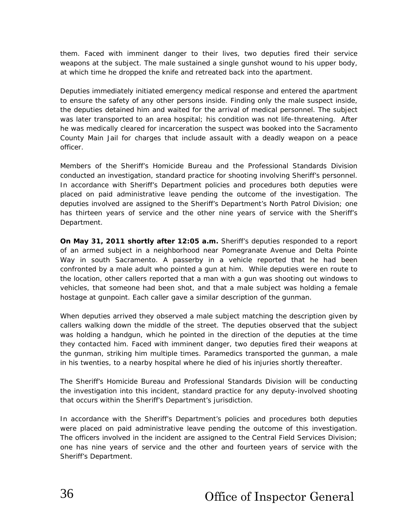them. Faced with imminent danger to their lives, two deputies fired their service weapons at the subject. The male sustained a single gunshot wound to his upper body, at which time he dropped the knife and retreated back into the apartment.

Deputies immediately initiated emergency medical response and entered the apartment to ensure the safety of any other persons inside. Finding only the male suspect inside, the deputies detained him and waited for the arrival of medical personnel. The subject was later transported to an area hospital; his condition was not life-threatening. After he was medically cleared for incarceration the suspect was booked into the Sacramento County Main Jail for charges that include assault with a deadly weapon on a peace officer.

Members of the Sheriff's Homicide Bureau and the Professional Standards Division conducted an investigation, standard practice for shooting involving Sheriff's personnel. In accordance with Sheriff's Department policies and procedures both deputies were placed on paid administrative leave pending the outcome of the investigation. The deputies involved are assigned to the Sheriff's Department's North Patrol Division; one has thirteen years of service and the other nine years of service with the Sheriff's Department.

**On May 31, 2011 shortly after 12:05 a.m.** Sheriff's deputies responded to a report of an armed subject in a neighborhood near Pomegranate Avenue and Delta Pointe Way in south Sacramento. A passerby in a vehicle reported that he had been confronted by a male adult who pointed a gun at him. While deputies were en route to the location, other callers reported that a man with a gun was shooting out windows to vehicles, that someone had been shot, and that a male subject was holding a female hostage at gunpoint. Each caller gave a similar description of the gunman.

When deputies arrived they observed a male subject matching the description given by callers walking down the middle of the street. The deputies observed that the subject was holding a handgun, which he pointed in the direction of the deputies at the time they contacted him. Faced with imminent danger, two deputies fired their weapons at the gunman, striking him multiple times. Paramedics transported the gunman, a male in his twenties, to a nearby hospital where he died of his injuries shortly thereafter.

The Sheriff's Homicide Bureau and Professional Standards Division will be conducting the investigation into this incident, standard practice for any deputy-involved shooting that occurs within the Sheriff's Department's jurisdiction.

In accordance with the Sheriff's Department's policies and procedures both deputies were placed on paid administrative leave pending the outcome of this investigation. The officers involved in the incident are assigned to the Central Field Services Division; one has nine years of service and the other and fourteen years of service with the Sheriff's Department.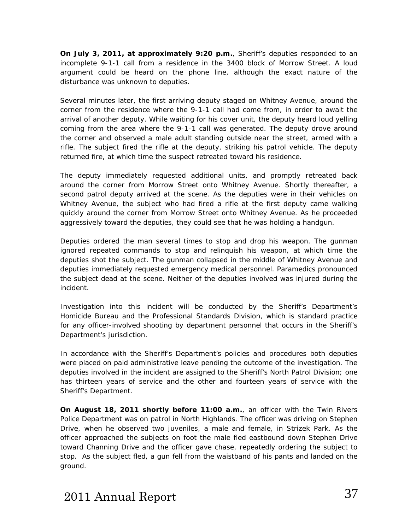**On July 3, 2011, at approximately 9:20 p.m.**, Sheriff's deputies responded to an incomplete 9-1-1 call from a residence in the 3400 block of Morrow Street. A loud argument could be heard on the phone line, although the exact nature of the disturbance was unknown to deputies.

Several minutes later, the first arriving deputy staged on Whitney Avenue, around the corner from the residence where the 9-1-1 call had come from, in order to await the arrival of another deputy. While waiting for his cover unit, the deputy heard loud yelling coming from the area where the 9-1-1 call was generated. The deputy drove around the corner and observed a male adult standing outside near the street, armed with a rifle. The subject fired the rifle at the deputy, striking his patrol vehicle. The deputy returned fire, at which time the suspect retreated toward his residence.

The deputy immediately requested additional units, and promptly retreated back around the corner from Morrow Street onto Whitney Avenue. Shortly thereafter, a second patrol deputy arrived at the scene. As the deputies were in their vehicles on Whitney Avenue, the subject who had fired a rifle at the first deputy came walking quickly around the corner from Morrow Street onto Whitney Avenue. As he proceeded aggressively toward the deputies, they could see that he was holding a handgun.

Deputies ordered the man several times to stop and drop his weapon. The gunman ignored repeated commands to stop and relinquish his weapon, at which time the deputies shot the subject. The gunman collapsed in the middle of Whitney Avenue and deputies immediately requested emergency medical personnel. Paramedics pronounced the subject dead at the scene. Neither of the deputies involved was injured during the incident.

Investigation into this incident will be conducted by the Sheriff's Department's Homicide Bureau and the Professional Standards Division, which is standard practice for any officer-involved shooting by department personnel that occurs in the Sheriff's Department's jurisdiction.

In accordance with the Sheriff's Department's policies and procedures both deputies were placed on paid administrative leave pending the outcome of the investigation. The deputies involved in the incident are assigned to the Sheriff's North Patrol Division; one has thirteen years of service and the other and fourteen years of service with the Sheriff's Department.

**On August 18, 2011 shortly before 11:00 a.m.**, an officer with the Twin Rivers Police Department was on patrol in North Highlands. The officer was driving on Stephen Drive, when he observed two juveniles, a male and female, in Strizek Park. As the officer approached the subjects on foot the male fled eastbound down Stephen Drive toward Channing Drive and the officer gave chase, repeatedly ordering the subject to stop. As the subject fled, a gun fell from the waistband of his pants and landed on the ground.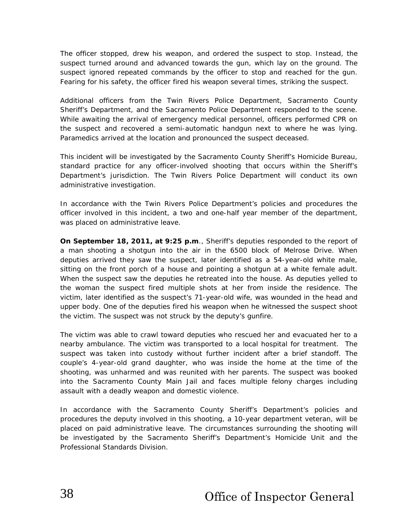The officer stopped, drew his weapon, and ordered the suspect to stop. Instead, the suspect turned around and advanced towards the gun, which lay on the ground. The suspect ignored repeated commands by the officer to stop and reached for the gun. Fearing for his safety, the officer fired his weapon several times, striking the suspect.

Additional officers from the Twin Rivers Police Department, Sacramento County Sheriff's Department, and the Sacramento Police Department responded to the scene. While awaiting the arrival of emergency medical personnel, officers performed CPR on the suspect and recovered a semi-automatic handgun next to where he was lying. Paramedics arrived at the location and pronounced the suspect deceased.

This incident will be investigated by the Sacramento County Sheriff's Homicide Bureau, standard practice for any officer-involved shooting that occurs within the Sheriff's Department's jurisdiction. The Twin Rivers Police Department will conduct its own administrative investigation.

In accordance with the Twin Rivers Police Department's policies and procedures the officer involved in this incident, a two and one-half year member of the department, was placed on administrative leave.

**On September 18, 2011, at 9:25 p.m**., Sheriff's deputies responded to the report of a man shooting a shotgun into the air in the 6500 block of Melrose Drive. When deputies arrived they saw the suspect, later identified as a 54-year-old white male, sitting on the front porch of a house and pointing a shotgun at a white female adult. When the suspect saw the deputies he retreated into the house. As deputies yelled to the woman the suspect fired multiple shots at her from inside the residence. The victim, later identified as the suspect's 71-year-old wife, was wounded in the head and upper body. One of the deputies fired his weapon when he witnessed the suspect shoot the victim. The suspect was not struck by the deputy's gunfire.

The victim was able to crawl toward deputies who rescued her and evacuated her to a nearby ambulance. The victim was transported to a local hospital for treatment. The suspect was taken into custody without further incident after a brief standoff. The couple's 4-year-old grand daughter, who was inside the home at the time of the shooting, was unharmed and was reunited with her parents. The suspect was booked into the Sacramento County Main Jail and faces multiple felony charges including assault with a deadly weapon and domestic violence.

In accordance with the Sacramento County Sheriff's Department's policies and procedures the deputy involved in this shooting, a 10-year department veteran, will be placed on paid administrative leave. The circumstances surrounding the shooting will be investigated by the Sacramento Sheriff's Department's Homicide Unit and the Professional Standards Division.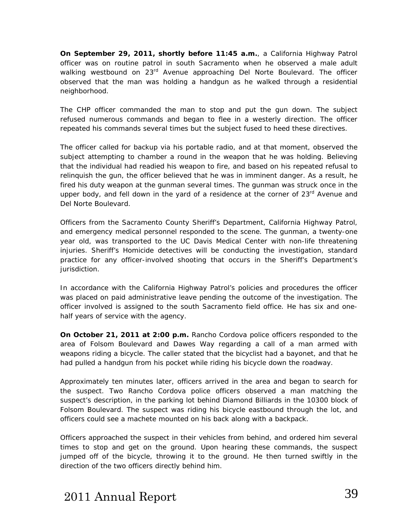**On September 29, 2011, shortly before 11:45 a.m.**, a California Highway Patrol officer was on routine patrol in south Sacramento when he observed a male adult walking westbound on 23<sup>rd</sup> Avenue approaching Del Norte Boulevard. The officer observed that the man was holding a handgun as he walked through a residential neighborhood.

The CHP officer commanded the man to stop and put the gun down. The subject refused numerous commands and began to flee in a westerly direction. The officer repeated his commands several times but the subject fused to heed these directives.

The officer called for backup via his portable radio, and at that moment, observed the subject attempting to chamber a round in the weapon that he was holding. Believing that the individual had readied his weapon to fire, and based on his repeated refusal to relinquish the gun, the officer believed that he was in imminent danger. As a result, he fired his duty weapon at the gunman several times. The gunman was struck once in the upper body, and fell down in the yard of a residence at the corner of  $23<sup>rd</sup>$  Avenue and Del Norte Boulevard.

Officers from the Sacramento County Sheriff's Department, California Highway Patrol, and emergency medical personnel responded to the scene. The gunman, a twenty-one year old, was transported to the UC Davis Medical Center with non-life threatening injuries. Sheriff's Homicide detectives will be conducting the investigation, standard practice for any officer-involved shooting that occurs in the Sheriff's Department's jurisdiction.

In accordance with the California Highway Patrol's policies and procedures the officer was placed on paid administrative leave pending the outcome of the investigation. The officer involved is assigned to the south Sacramento field office. He has six and onehalf years of service with the agency.

**On October 21, 2011 at 2:00 p.m.** Rancho Cordova police officers responded to the area of Folsom Boulevard and Dawes Way regarding a call of a man armed with weapons riding a bicycle. The caller stated that the bicyclist had a bayonet, and that he had pulled a handgun from his pocket while riding his bicycle down the roadway.

Approximately ten minutes later, officers arrived in the area and began to search for the suspect. Two Rancho Cordova police officers observed a man matching the suspect's description, in the parking lot behind Diamond Billiards in the 10300 block of Folsom Boulevard. The suspect was riding his bicycle eastbound through the lot, and officers could see a machete mounted on his back along with a backpack.

Officers approached the suspect in their vehicles from behind, and ordered him several times to stop and get on the ground. Upon hearing these commands, the suspect jumped off of the bicycle, throwing it to the ground. He then turned swiftly in the direction of the two officers directly behind him.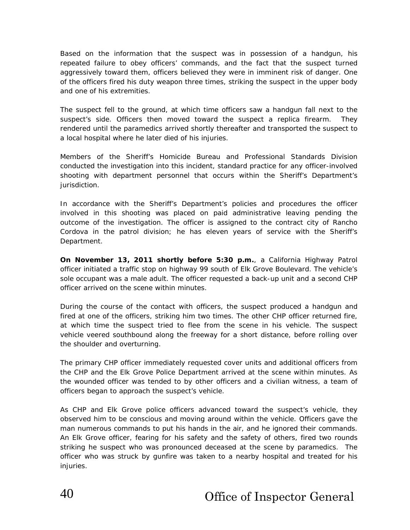Based on the information that the suspect was in possession of a handgun, his repeated failure to obey officers' commands, and the fact that the suspect turned aggressively toward them, officers believed they were in imminent risk of danger. One of the officers fired his duty weapon three times, striking the suspect in the upper body and one of his extremities.

The suspect fell to the ground, at which time officers saw a handgun fall next to the suspect's side. Officers then moved toward the suspect a replica firearm. They rendered until the paramedics arrived shortly thereafter and transported the suspect to a local hospital where he later died of his injuries.

Members of the Sheriff's Homicide Bureau and Professional Standards Division conducted the investigation into this incident, standard practice for any officer-involved shooting with department personnel that occurs within the Sheriff's Department's jurisdiction.

In accordance with the Sheriff's Department's policies and procedures the officer involved in this shooting was placed on paid administrative leaving pending the outcome of the investigation. The officer is assigned to the contract city of Rancho Cordova in the patrol division; he has eleven years of service with the Sheriff's Department.

**On November 13, 2011 shortly before 5:30 p.m.**, a California Highway Patrol officer initiated a traffic stop on highway 99 south of Elk Grove Boulevard. The vehicle's sole occupant was a male adult. The officer requested a back-up unit and a second CHP officer arrived on the scene within minutes.

During the course of the contact with officers, the suspect produced a handgun and fired at one of the officers, striking him two times. The other CHP officer returned fire, at which time the suspect tried to flee from the scene in his vehicle. The suspect vehicle veered southbound along the freeway for a short distance, before rolling over the shoulder and overturning.

The primary CHP officer immediately requested cover units and additional officers from the CHP and the Elk Grove Police Department arrived at the scene within minutes. As the wounded officer was tended to by other officers and a civilian witness, a team of officers began to approach the suspect's vehicle.

As CHP and Elk Grove police officers advanced toward the suspect's vehicle, they observed him to be conscious and moving around within the vehicle. Officers gave the man numerous commands to put his hands in the air, and he ignored their commands. An Elk Grove officer, fearing for his safety and the safety of others, fired two rounds striking he suspect who was pronounced deceased at the scene by paramedics. The officer who was struck by gunfire was taken to a nearby hospital and treated for his injuries.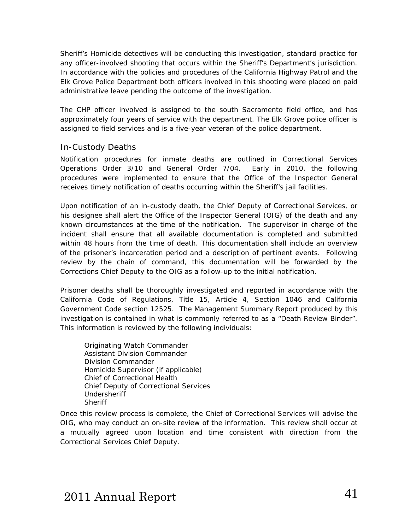Sheriff's Homicide detectives will be conducting this investigation, standard practice for any officer-involved shooting that occurs within the Sheriff's Department's jurisdiction. In accordance with the policies and procedures of the California Highway Patrol and the Elk Grove Police Department both officers involved in this shooting were placed on paid administrative leave pending the outcome of the investigation.

The CHP officer involved is assigned to the south Sacramento field office, and has approximately four years of service with the department. The Elk Grove police officer is assigned to field services and is a five-year veteran of the police department.

### In-Custody Deaths

Notification procedures for inmate deaths are outlined in Correctional Services Operations Order 3/10 and General Order 7/04. Early in 2010, the following procedures were implemented to ensure that the Office of the Inspector General receives timely notification of deaths occurring within the Sheriff's jail facilities.

Upon notification of an in-custody death, the Chief Deputy of Correctional Services, or his designee shall alert the Office of the Inspector General (OIG) of the death and any known circumstances at the time of the notification. The supervisor in charge of the incident shall ensure that all available documentation is completed and submitted within 48 hours from the time of death. This documentation shall include an overview of the prisoner's incarceration period and a description of pertinent events. Following review by the chain of command, this documentation will be forwarded by the Corrections Chief Deputy to the OIG as a follow-up to the initial notification.

Prisoner deaths shall be thoroughly investigated and reported in accordance with the California Code of Regulations, Title 15, Article 4, Section 1046 and California Government Code section 12525. The *Management Summary Report* produced by this investigation is contained in what is commonly referred to as a *"Death Review Binder".* This information is reviewed by the following individuals:

Originating Watch Commander Assistant Division Commander Division Commander Homicide Supervisor (if applicable) Chief of Correctional Health Chief Deputy of Correctional Services Undersheriff **Sheriff** 

Once this review process is complete, the Chief of Correctional Services will advise the OIG, who may conduct an on-site review of the information. This review shall occur at a mutually agreed upon location and time consistent with direction from the Correctional Services Chief Deputy.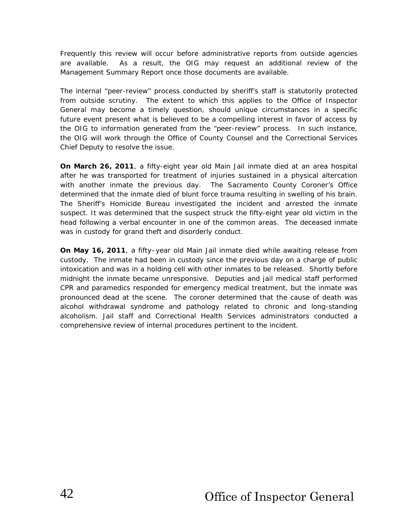Frequently this review will occur before administrative reports from outside agencies are available. As a result, the OIG may request an additional review of the *Management Summary Report* once those documents are available.

The internal "peer-review" process conducted by sheriff's staff is statutorily protected from outside scrutiny. The extent to which this applies to the Office of Inspector General may become a timely question, should unique circumstances in a specific future event present what is believed to be a compelling interest in favor of access by the OIG to information generated from the "peer-review" process. In such instance, the OIG will work through the Office of County Counsel and the Correctional Services Chief Deputy to resolve the issue.

**On March 26, 2011**, a fifty-eight year old Main Jail inmate died at an area hospital after he was transported for treatment of injuries sustained in a physical altercation with another inmate the previous day. The Sacramento County Coroner's Office determined that the inmate died of blunt force trauma resulting in swelling of his brain. The Sheriff's Homicide Bureau investigated the incident and arrested the inmate suspect. It was determined that the suspect struck the fifty-eight year old victim in the head following a verbal encounter in one of the common areas. The deceased inmate was in custody for grand theft and disorderly conduct.

**On May 16, 2011**, a fifty–year old Main Jail inmate died while awaiting release from custody. The inmate had been in custody since the previous day on a charge of public intoxication and was in a holding cell with other inmates to be released. Shortly before midnight the inmate became unresponsive. Deputies and jail medical staff performed CPR and paramedics responded for emergency medical treatment, but the inmate was pronounced dead at the scene. The coroner determined that the cause of death was *alcohol withdrawal syndrome* and pathology related to chronic and long-standing alcoholism. Jail staff and Correctional Health Services administrators conducted a comprehensive review of internal procedures pertinent to the incident.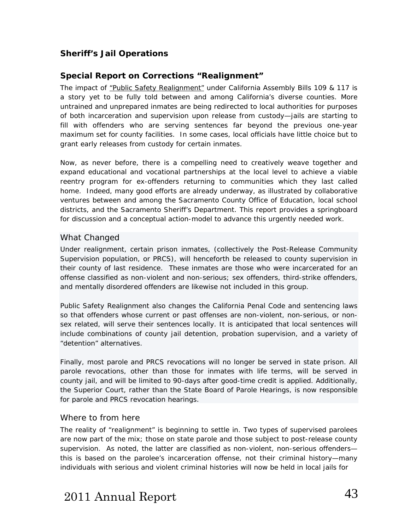# **Sheriff's Jail Operations**

## **Special Report on Corrections "Realignment"**

The impact of *"Public Safety Realignment"* under California Assembly Bills 109 & 117 is a story yet to be fully told between and among California's diverse counties. More untrained and unprepared inmates are being redirected to local authorities for purposes of both incarceration and supervision upon release from custody—jails are starting to fill with offenders who are serving sentences far beyond the previous one-year maximum set for county facilities. In some cases, local officials have little choice but to grant early releases from custody for certain inmates.

Now, as never before, there is a compelling need to creatively weave together and expand educational and vocational partnerships at the local level to achieve a viable reentry program for ex-offenders returning to communities which they last called home. Indeed, many good efforts are already underway, as illustrated by collaborative ventures between and among the Sacramento County Office of Education, local school districts, and the Sacramento Sheriff's Department. This report provides a springboard for discussion and a conceptual action-model to advance this urgently needed work.

### What Changed

Under realignment, certain prison inmates, (collectively the Post-Release Community Supervision population, or PRCS), will henceforth be released to county supervision in their county of last residence. These inmates are those who were incarcerated for an offense classified as non-violent and non-serious; sex offenders, third-strike offenders, and mentally disordered offenders are likewise not included in this group.

*Public Safety Realignment* also changes the California Penal Code and sentencing laws so that offenders whose current or past offenses are non-violent, non-serious, or nonsex related, will serve their sentences locally. It is anticipated that local sentences will include combinations of county jail detention, probation supervision, and a variety of "detention" alternatives.

Finally, most parole and PRCS revocations will no longer be served in state prison. All parole revocations, other than those for inmates with life terms, will be served in county jail, and will be limited to 90-days after good-time credit is applied. Additionally, the Superior Court, rather than the State Board of Parole Hearings, is now responsible for parole and PRCS revocation hearings.

### Where to from here

The reality of "realignment" is beginning to settle in. Two types of supervised *parolees* are now part of the mix; those on *state* parole and those subject to post-release *county*  supervision. As noted, the latter are classified as non-violent, non-serious offenders this is based on the parolee's *incarceration* offense, not their criminal history—many individuals with serious and violent criminal *histories* will now be held in local jails for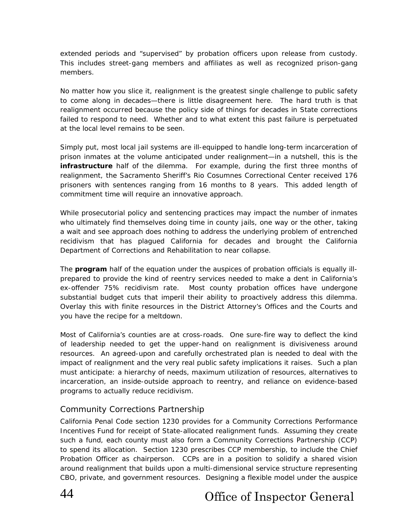extended periods and "supervised" by probation officers upon release from custody. This includes street-gang members and affiliates as well as recognized prison-gang members.

No matter how you slice it, realignment is the greatest single challenge to public safety to come along in decades—there is little disagreement here. The hard truth is that *realignment occurred because the policy side of things for decades in State corrections failed to respond to need*. Whether and to what extent this past failure is perpetuated at the local level remains to be seen.

Simply put, most local jail systems are ill-equipped to handle long-term incarceration of *prison* inmates at the volume anticipated under realignment—in a nutshell, this is the **infrastructure** half of the dilemma. *For example, during the first three months of realignment, the Sacramento Sheriff's Rio Cosumnes Correctional Center received 176 prisoners with sentences ranging from 16 months to 8 years.* This added length of commitment time will require an innovative approach.

While prosecutorial policy and sentencing practices may impact the number of inmates who ultimately find themselves doing time in county jails, one way or the other, taking a wait and see approach does nothing to address the underlying problem of entrenched recidivism that has plagued California for decades and brought the California Department of Corrections and Rehabilitation to near collapse.

The **program** half of the equation under the auspices of probation officials is equally illprepared to provide the kind of reentry services needed to make a dent in California's ex-offender 75% recidivism rate. Most county probation offices have undergone substantial budget cuts that imperil their ability to proactively address this dilemma. Overlay this with finite resources in the District Attorney's Offices and the Courts and you have the recipe for a meltdown.

Most of California's counties are at cross-roads. One sure-fire way to deflect the kind of leadership needed to get the upper-hand on realignment is divisiveness around resources. An agreed-upon and carefully orchestrated plan is needed to deal with the impact of realignment and the very real public safety implications it raises. *Such a plan must anticipate: a hierarchy of needs, maximum utilization of resources, alternatives to incarceration, an inside-outside approach to reentry, and reliance on evidence-based programs to actually reduce recidivism.* 

### Community Corrections Partnership

California Penal Code section 1230 provides for a Community Corrections Performance Incentives Fund for receipt of State-allocated realignment funds. Assuming they create such a fund, each county must also form a Community Corrections Partnership (CCP) to spend its allocation. Section 1230 prescribes CCP membership, to include the Chief Probation Officer as chairperson. CCPs are in a position to solidify a shared vision around realignment that builds upon a multi-dimensional service structure representing CBO, private, and government resources. Designing a flexible model under the auspice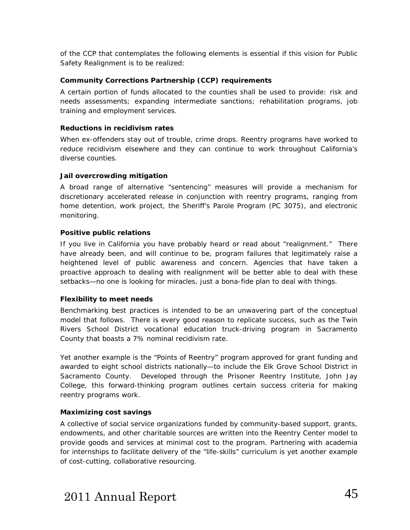of the CCP that contemplates the following elements is essential if this vision for *Public Safety Realignment* is to be realized:

#### **Community Corrections Partnership (CCP) requirements**

A certain portion of funds allocated to the counties *shall* be used to provide: risk and needs assessments; expanding intermediate sanctions; rehabilitation programs, job training and employment services.

#### **Reductions in recidivism rates**

When ex-offenders stay out of trouble, crime drops. Reentry programs have worked to reduce recidivism elsewhere and they can continue to work throughout California's diverse counties.

#### **Jail overcrowding mitigation**

A broad range of alternative "sentencing" measures will provide a mechanism for discretionary accelerated release in conjunction with reentry programs, ranging from home detention, work project, the Sheriff's Parole Program (PC 3075), and electronic monitoring.

#### **Positive public relations**

If you live in California you have probably heard or read about "realignment." There have already been, and will continue to be, program failures that legitimately raise a heightened level of public awareness and concern. Agencies that have taken a proactive approach to dealing with realignment will be better able to deal with these setbacks—no one is looking for miracles, just a bona-fide plan to deal with things.

#### **Flexibility to meet needs**

Benchmarking best practices is intended to be an unwavering part of the conceptual model that follows. There is every good reason to replicate success, such as the Twin Rivers School District vocational education truck-driving program in Sacramento County that boasts a 7% nominal recidivism rate.

Yet another example is the *"Points of Reentry"* program approved for grant funding and awarded to eight school districts nationally—to include the Elk Grove School District in Sacramento County. Developed through the Prisoner Reentry Institute, John Jay College, this forward-thinking program outlines certain success criteria for making reentry programs work.

#### **Maximizing cost savings**

A collective of social service organizations funded by community-based support, grants, endowments, and other charitable sources are written into the Reentry Center model to provide goods and services at minimal cost to the program. Partnering with academia for internships to facilitate delivery of the "life-skills" curriculum is yet another example of cost-cutting, collaborative resourcing.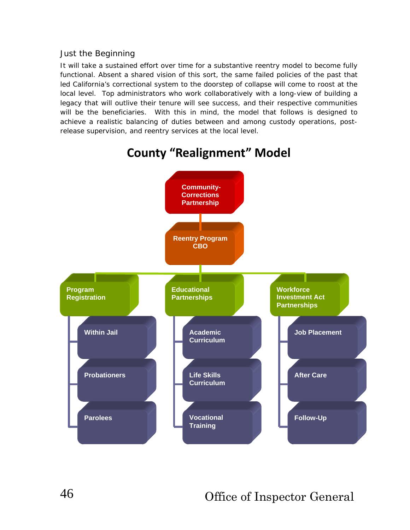### Just the Beginning

It will take a sustained effort over time for a substantive reentry model to become fully functional. Absent a shared vision of this sort, the same failed policies of the past that led California's correctional system to the doorstep of collapse will come to roost at the local level. Top administrators who work collaboratively with a long-view of building a legacy that will outlive their tenure will see success, and their respective communities will be the beneficiaries. With this in mind, the model that follows is designed to achieve a realistic balancing of duties between and among custody operations, postrelease supervision, and reentry services at the local level.



# **County "Realignment" Model**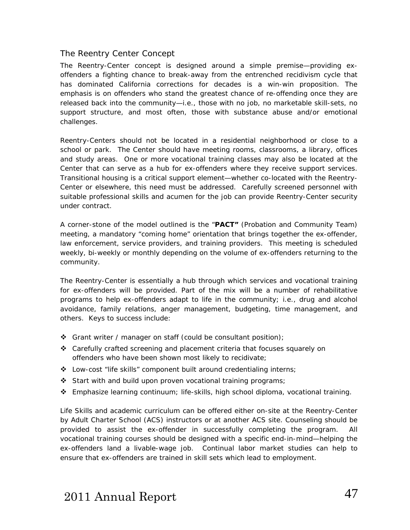### The Reentry Center Concept

The Reentry-Center concept is designed around a simple premise—providing exoffenders a fighting chance to break-away from the entrenched recidivism cycle that has dominated California corrections for decades is a win-win proposition. The emphasis is on offenders who stand the greatest chance of re-offending once they are released back into the community—i.e., those with no job, no marketable skill-sets, no support structure, and most often, those with substance abuse and/or emotional challenges.

Reentry-Centers should not be located in a residential neighborhood or close to a school or park. The Center should have meeting rooms, classrooms, a library, offices and study areas. One or more vocational training classes may also be located at the Center that can serve as a hub for ex-offenders where they receive support services. Transitional housing is a critical support element—whether co-located with the Reentry-Center or elsewhere, this need must be addressed. Carefully screened personnel with suitable professional skills and acumen for the job can provide Reentry-Center security under contract.

A corner-stone of the model outlined is the "**PACT"** (Probation and Community Team) meeting, a mandatory "coming home" orientation that brings together the ex-offender, law enforcement, service providers, and training providers. This meeting is scheduled weekly, bi-weekly or monthly depending on the volume of ex-offenders returning to the community.

The Reentry-Center is essentially a hub through which services and vocational training for ex-offenders will be provided. Part of the mix will be a number of rehabilitative programs to help ex-offenders adapt to life in the community; i.e., drug and alcohol avoidance, family relations, anger management, budgeting, time management, and others. Keys to success include:

- Grant writer / manager on staff (could be consultant position);
- Carefully crafted screening and placement criteria that focuses squarely on offenders who have been shown most likely to recidivate;
- $\triangle$  Low-cost "life skills" component built around credentialing interns;
- Start with and build upon proven vocational training programs;
- Emphasize learning continuum; life-skills, high school diploma, vocational training.

Life Skills and academic curriculum can be offered either on-site at the Reentry-Center by Adult Charter School (ACS) instructors or at another ACS site. Counseling should be provided to assist the ex-offender in successfully completing the program. All vocational training courses should be designed with a specific end-in-mind—helping the ex-offenders land a livable-wage job. Continual labor market studies can help to ensure that ex-offenders are trained in skill sets which lead to employment.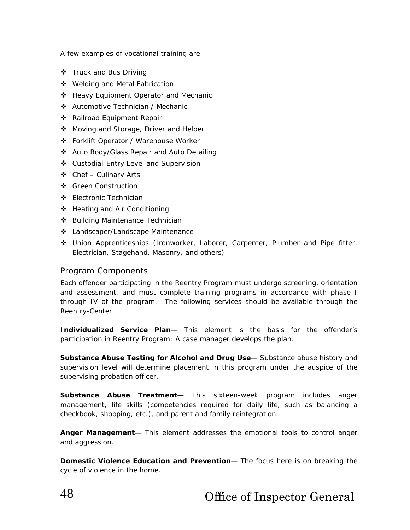A few examples of vocational training are:

- ❖ Truck and Bus Driving
- ❖ Welding and Metal Fabrication
- ❖ Heavy Equipment Operator and Mechanic
- Automotive Technician / Mechanic
- Railroad Equipment Repair
- ❖ Moving and Storage, Driver and Helper
- Forklift Operator / Warehouse Worker
- Auto Body/Glass Repair and Auto Detailing
- Custodial-Entry Level and Supervision
- $\triangleleft$  Chef Culinary Arts
- ❖ Green Construction
- Electronic Technician
- ❖ Heating and Air Conditioning
- Building Maintenance Technician
- Landscaper/Landscape Maintenance
- Union Apprenticeships (Ironworker, Laborer, Carpenter, Plumber and Pipe fitter, Electrician, Stagehand, Masonry, and others)

#### Program Components

Each offender participating in the Reentry Program must undergo screening, orientation and assessment, and must complete training programs in accordance with phase I through IV of the program. The following services should be available through the Reentry-Center.

**Individualized Service Plan**— This element is the basis for the offender's participation in Reentry Program; A case manager develops the plan.

**Substance Abuse Testing for Alcohol and Drug Use**— Substance abuse history and supervision level will determine placement in this program under the auspice of the supervising probation officer.

**Substance Abuse Treatment**— This sixteen-week program includes anger management, life skills (competencies required for daily life, such as balancing a checkbook, shopping, etc.), and parent and family reintegration.

**Anger Management**— This element addresses the emotional tools to control anger and aggression.

**Domestic Violence Education and Prevention**— The focus here is on breaking the cycle of violence in the home.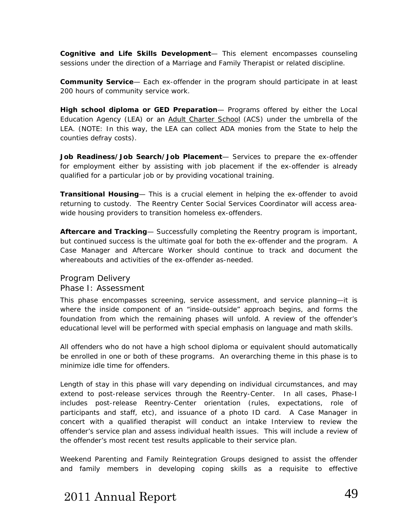**Cognitive and Life Skills Development**— This element encompasses counseling sessions under the direction of a Marriage and Family Therapist or related discipline.

**Community Service**— Each ex-offender in the program should participate in at least 200 hours of community service work.

**High school diploma or GED Preparation**— Programs offered by either the Local Education Agency (LEA) or an Adult Charter School (ACS) under the umbrella of the LEA. (NOTE: In this way, the LEA can collect ADA monies from the State to help the counties defray costs).

**Job Readiness/Job Search/Job Placement**— Services to prepare the ex-offender for employment either by assisting with job placement if the ex-offender is already qualified for a particular job or by providing vocational training.

**Transitional Housing**— This is a crucial element in helping the ex-offender to avoid returning to custody. The Reentry Center Social Services Coordinator will access areawide housing providers to transition homeless ex-offenders.

**Aftercare and Tracking**— Successfully completing the Reentry program is important, but continued success is the ultimate goal for both the ex-offender and the program. A Case Manager and Aftercare Worker should continue to track and document the whereabouts and activities of the ex-offender as-needed.

### Program Delivery Phase I: Assessment

This phase encompasses screening, service assessment, and service planning—it is where the inside component of an "inside-outside" approach begins, and forms the foundation from which the remaining phases will unfold. A review of the offender's educational level will be performed with special emphasis on language and math skills.

All offenders who do not have a high school diploma or equivalent should automatically be enrolled in one or both of these programs. An overarching theme in this phase is to minimize idle time for offenders.

Length of stay in this phase will vary depending on individual circumstances, and may extend to post-release services through the Reentry-Center. In all cases, Phase-I includes post-release Reentry-Center orientation (rules, expectations, role of participants and staff, etc), and issuance of a photo ID card. A Case Manager in concert with a qualified therapist will conduct an intake Interview to review the offender's service plan and assess individual health issues. This will include a review of the offender's most recent test results applicable to their service plan.

Weekend Parenting and Family Reintegration Groups designed to assist the offender and family members in developing coping skills as a requisite to effective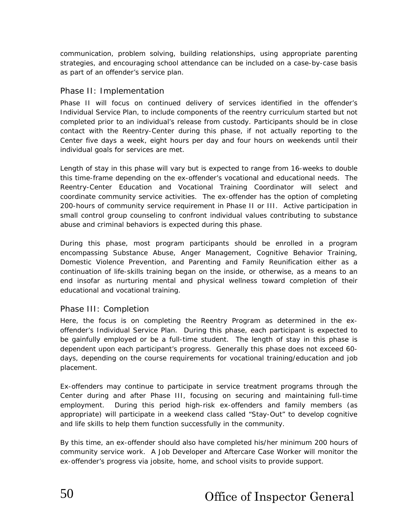communication, problem solving, building relationships, using appropriate parenting strategies, and encouraging school attendance can be included on a case-by-case basis as part of an offender's service plan.

### Phase II: Implementation

Phase II will focus on continued delivery of services identified in the offender's Individual Service Plan, to include components of the reentry curriculum started but not completed prior to an individual's release from custody. Participants should be in close contact with the Reentry-Center during this phase, if not actually reporting to the Center five days a week, eight hours per day and four hours on weekends until their individual goals for services are met.

Length of stay in this phase will vary but is expected to range from 16-weeks to double this time-frame depending on the ex-offender's vocational and educational needs. The Reentry-Center Education and Vocational Training Coordinator will select and coordinate community service activities. The ex-offender has the option of completing 200-hours of community service requirement in Phase II or III. Active participation in small control group counseling to confront individual values contributing to substance abuse and criminal behaviors is expected during this phase.

During this phase, most program participants should be enrolled in a program encompassing Substance Abuse, Anger Management, Cognitive Behavior Training, Domestic Violence Prevention, and Parenting and Family Reunification either as a continuation of life-skills training began on the inside, or otherwise, as a means to an end insofar as nurturing mental and physical wellness toward completion of their educational and vocational training.

### Phase III: Completion

Here, the focus is on completing the Reentry Program as determined in the exoffender's Individual Service Plan. During this phase, each participant is expected to be gainfully employed or be a full-time student. The length of stay in this phase is dependent upon each participant's progress. Generally this phase does not exceed 60 days, depending on the course requirements for vocational training/education and job placement.

Ex-offenders may continue to participate in service treatment programs through the Center during and after Phase III, focusing on securing and maintaining full-time employment. During this period high-risk ex-offenders and family members (as appropriate) will participate in a weekend class called "Stay-Out" to develop cognitive and life skills to help them function successfully in the community.

By this time, an ex-offender should also have completed his/her minimum 200 hours of community service work. A Job Developer and Aftercare Case Worker will monitor the ex-offender's progress via jobsite, home, and school visits to provide support.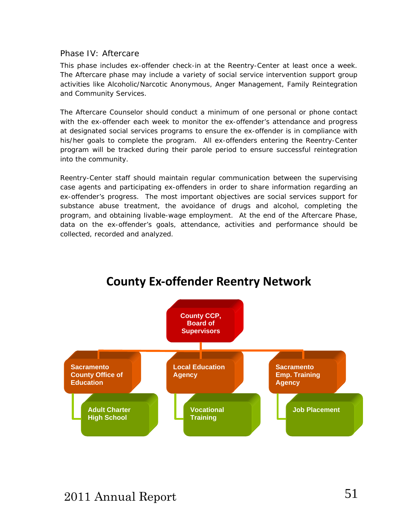### Phase IV: Aftercare

This phase includes ex-offender check-in at the Reentry-Center at least once a week. The Aftercare phase may include a variety of social service intervention support group activities like Alcoholic/Narcotic Anonymous, Anger Management, Family Reintegration and Community Services.

The Aftercare Counselor should conduct a minimum of one personal or phone contact with the ex-offender each week to monitor the ex-offender's attendance and progress at designated social services programs to ensure the ex-offender is in compliance with his/her goals to complete the program. All ex-offenders entering the Reentry-Center program will be tracked during their parole period to ensure successful reintegration into the community.

Reentry-Center staff should maintain regular communication between the supervising case agents and participating ex-offenders in order to share information regarding an ex-offender's progress. The most important objectives are social services support for substance abuse treatment, the avoidance of drugs and alcohol, completing the program, and obtaining livable-wage employment. At the end of the Aftercare Phase, data on the ex-offender's goals, attendance, activities and performance should be collected, recorded and analyzed.



# **County Ex‐offender Reentry Network**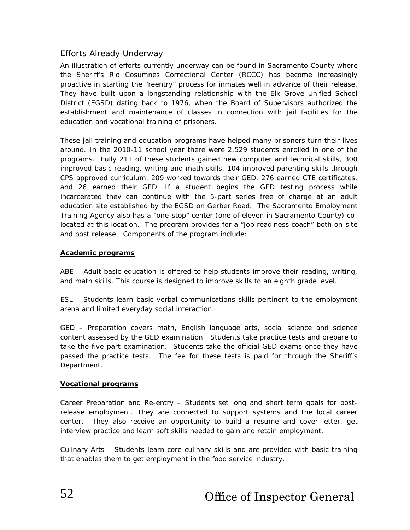## Efforts Already Underway

An illustration of efforts currently underway can be found in Sacramento County where the Sheriff's Rio Cosumnes Correctional Center (RCCC) has become increasingly proactive in starting the "reentry" process for inmates well in advance of their release. They have built upon a longstanding relationship with the Elk Grove Unified School District (EGSD) dating back to 1976, when the Board of Supervisors authorized the establishment and maintenance of classes in connection with jail facilities for the education and vocational training of prisoners.

These jail training and education programs have helped many prisoners turn their lives around. In the 2010-11 school year there were 2,529 students enrolled in one of the programs. Fully 211 of these students gained new computer and technical skills, 300 improved basic reading, writing and math skills, 104 improved parenting skills through CPS approved curriculum, 209 worked towards their GED, 276 earned CTE certificates, and 26 earned their GED. If a student begins the GED testing process while incarcerated they can continue with the 5-part series free of charge at an adult education site established by the EGSD on Gerber Road. The Sacramento Employment Training Agency also has a "one-stop" center (one of eleven in Sacramento County) colocated at this location. The program provides for a "job readiness coach" both on-site and post release. Components of the program include:

#### **Academic programs**

*ABE –* Adult basic education is offered to help students improve their reading, writing, and math skills. This course is designed to improve skills to an eighth grade level.

*ESL –* Students learn basic verbal communications skills pertinent to the employment arena and limited everyday social interaction.

*GED –* Preparation covers math, English language arts, social science and science content assessed by the GED examination. Students take practice tests and prepare to take the five-part examination. Students take the official GED exams once they have passed the practice tests. The fee for these tests is paid for through the Sheriff's Department.

#### **Vocational programs**

*Career Preparation and Re-entry* – Students set long and short term goals for postrelease employment. They are connected to support systems and the local career center. They also receive an opportunity to build a resume and cover letter, get interview practice and learn soft skills needed to gain and retain employment.

*Culinary Arts –* Students learn core culinary skills and are provided with basic training that enables them to get employment in the food service industry.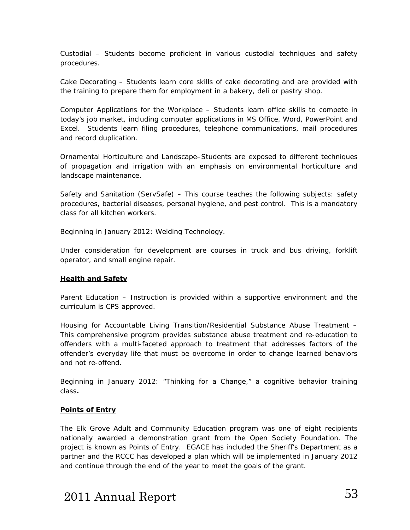*Custodial –* Students become proficient in various custodial techniques and safety procedures.

*Cake Decorating –* Students learn core skills of cake decorating and are provided with the training to prepare them for employment in a bakery, deli or pastry shop.

*Computer Applications for the Workplace –* Students learn office skills to compete in today's job market, including computer applications in MS Office, Word, PowerPoint and Excel. Students learn filing procedures, telephone communications, mail procedures and record duplication.

*Ornamental Horticulture and Landscape–*Students are exposed to different techniques of propagation and irrigation with an emphasis on environmental horticulture and landscape maintenance.

*Safety and Sanitation (ServSafe) –* This course teaches the following subjects: safety procedures, bacterial diseases, personal hygiene, and pest control. This is a mandatory class for all kitchen workers.

Beginning in January 2012: Welding Technology.

*Under consideration for development are courses in truck and bus driving, forklift operator, and small engine repair.* 

#### **Health and Safety**

*Parent Educ*ation – Instruction is provided within a supportive environment and the curriculum is CPS approved.

*Housing for Accountable Living Transition/Residential Substance Abuse Treatment –*  This comprehensive program provides substance abuse treatment and re-education to offenders with a multi-faceted approach to treatment that addresses factors of the offender's everyday life that must be overcome in order to change learned behaviors and not re-offend.

Beginning in January 2012: "Thinking for a Change," a cognitive behavior training class*.* 

#### **Points of Entry**

The Elk Grove Adult and Community Education program was one of eight recipients nationally awarded a demonstration grant from the Open Society Foundation. The project is known as *Points of Entry*. EGACE has included the Sheriff's Department as a partner and the RCCC has developed a plan which will be implemented in January 2012 and continue through the end of the year to meet the goals of the grant.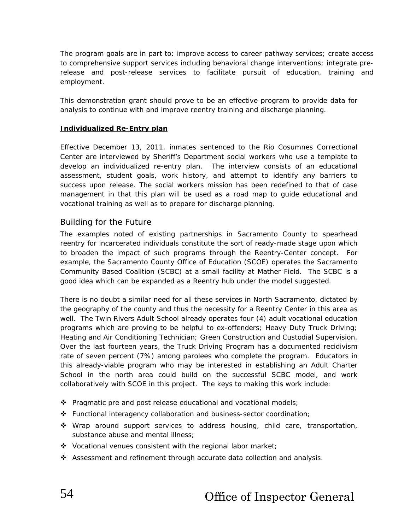The program goals are in part to: improve access to career pathway services; create access to comprehensive support services including behavioral change interventions; integrate prerelease and post-release services to facilitate pursuit of education, training and employment.

This demonstration grant should prove to be an effective program to provide data for analysis to continue with and improve reentry training and discharge planning.

#### **Individualized Re-Entry plan**

Effective December 13, 2011, inmates sentenced to the Rio Cosumnes Correctional Center are interviewed by Sheriff's Department social workers who use a template to develop an individualized re-entry plan. The interview consists of an educational assessment, student goals, work history, and attempt to identify any barriers to success upon release. The social workers mission has been redefined to that of case management in that this plan will be used as a road map to guide educational and vocational training as well as to prepare for discharge planning.

#### Building for the Future

The examples noted of existing partnerships in Sacramento County to spearhead reentry for incarcerated individuals constitute the sort of ready-made stage upon which to broaden the impact of such programs through the Reentry-Center concept. For example, the Sacramento County Office of Education (SCOE) operates the Sacramento Community Based Coalition (SCBC) at a small facility at Mather Field. The SCBC is a good idea which can be expanded as a Reentry hub under the model suggested.

There is no doubt a similar need for all these services in North Sacramento, dictated by the geography of the county and thus the necessity for a Reentry Center in this area as well. The Twin Rivers Adult School already operates four (4) adult vocational education programs which are proving to be helpful to ex-offenders; Heavy Duty Truck Driving; Heating and Air Conditioning Technician; Green Construction and Custodial Supervision. Over the last fourteen years, the Truck Driving Program has a documented recidivism rate of seven percent (7%) among parolees who complete the program. Educators in this already-viable program who may be interested in establishing an Adult Charter School in the north area could build on the successful SCBC model, and work collaboratively with SCOE in this project. The keys to making this work include:

- $\triangle$  Pragmatic pre and post release educational and vocational models;
- $\div$  Functional interagency collaboration and business-sector coordination;
- Wrap around support services to address housing, child care, transportation, substance abuse and mental illness:
- $\triangle$  Vocational venues consistent with the regional labor market;
- $\triangle$  Assessment and refinement through accurate data collection and analysis.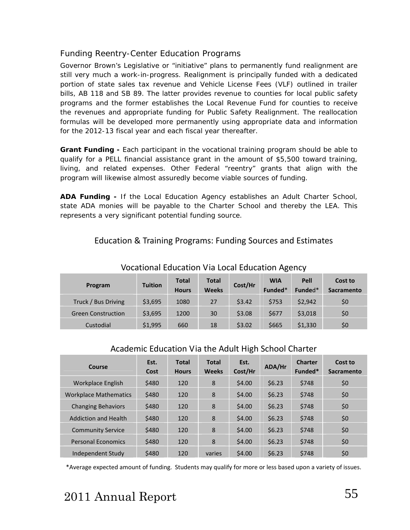## Funding Reentry-Center Education Programs

Governor Brown's Legislative or "initiative" plans to permanently fund realignment are still very much a work-in-progress. Realignment is principally funded with a dedicated portion of state sales tax revenue and Vehicle License Fees (VLF) outlined in trailer bills, AB 118 and SB 89. The latter provides revenue to counties for local public safety programs and the former establishes the Local Revenue Fund for counties to receive the revenues and appropriate funding for Public Safety Realignment. The reallocation formulas will be developed more permanently using appropriate data and information for the 2012-13 fiscal year and each fiscal year thereafter.

**Grant Funding -** Each participant in the vocational training program should be able to qualify for a PELL financial assistance grant in the amount of \$5,500 toward training, living, and related expenses. Other Federal "reentry" grants that align with the program will likewise almost assuredly become viable sources of funding.

**ADA Funding -** If the Local Education Agency establishes an Adult Charter School, state ADA monies will be payable to the Charter School and thereby the LEA. This represents a very significant potential funding source.

# Education & Training Programs: Funding Sources and Estimates

| VOCULIONUI LUUCULION VIU LOCUI LUUCULION ASCHOV |                |                              |                              |         |                       |                 |                       |  |  |  |
|-------------------------------------------------|----------------|------------------------------|------------------------------|---------|-----------------------|-----------------|-----------------------|--|--|--|
| Program                                         | <b>Tuition</b> | <b>Total</b><br><b>Hours</b> | <b>Total</b><br><b>Weeks</b> | Cost/Hr | <b>WIA</b><br>Funded* | Pell<br>Funded* | Cost to<br>Sacramento |  |  |  |
| Truck / Bus Driving                             | \$3,695        | 1080                         | 27                           | \$3.42  | \$753                 | \$2,942         | \$0                   |  |  |  |
| <b>Green Construction</b>                       | \$3,695        | 1200                         | 30                           | \$3.08  | \$677                 | \$3,018         | \$0                   |  |  |  |
| Custodial                                       | \$1,995        | 660                          | 18                           | \$3.02  | \$665                 | \$1,330         | \$0                   |  |  |  |

## Vocational Education Via Local Education Agency

## Academic Education Via the Adult High School Charter

| Course                       | Est.<br>Cost | <b>Total</b><br><b>Hours</b> | <b>Total</b><br><b>Weeks</b> | Est.<br>Cost/Hr | ADA/Hr | <b>Charter</b><br>Funded* | Cost to<br>Sacramento |
|------------------------------|--------------|------------------------------|------------------------------|-----------------|--------|---------------------------|-----------------------|
| Workplace English            | \$480        | 120                          | 8                            | \$4.00          | \$6.23 | \$748                     | \$0                   |
| <b>Workplace Mathematics</b> | \$480        | 120                          | 8                            | \$4.00          | \$6.23 | \$748                     | \$0                   |
| <b>Changing Behaviors</b>    | \$480        | 120                          | 8                            | \$4.00          | \$6.23 | \$748                     | \$0                   |
| <b>Addiction and Health</b>  | \$480        | 120                          | 8                            | \$4.00          | \$6.23 | \$748                     | \$0                   |
| <b>Community Service</b>     | \$480        | 120                          | 8                            | \$4.00          | \$6.23 | \$748                     | \$0                   |
| <b>Personal Economics</b>    | \$480        | 120                          | 8                            | \$4.00          | \$6.23 | \$748                     | \$0                   |
| Independent Study            | \$480        | 120                          | varies                       | \$4.00          | \$6.23 | \$748                     | \$0                   |

\*Average expected amount of funding. Students may qualify for more or less based upon a variety of issues.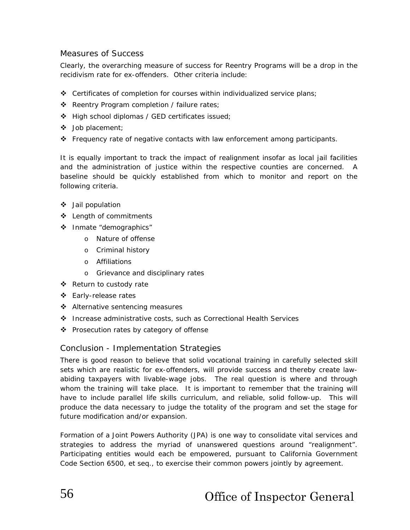### Measures of Success

Clearly, the overarching measure of success for Reentry Programs will be a drop in the recidivism rate for ex-offenders. Other criteria include:

- $\div$  Certificates of completion for courses within individualized service plans;
- \* Reentry Program completion / failure rates;
- High school diplomas / GED certificates issued;
- Job placement;
- Frequency rate of negative contacts with law enforcement among participants.

It is equally important to track the impact of realignment insofar as local jail facilities and the administration of justice within the respective counties are concerned. A baseline should be quickly established from which to monitor and report on the following criteria.

- Jail population
- Length of commitments
- Inmate "demographics"
	- o Nature of offense
	- o Criminal history
	- o Affiliations
	- o Grievance and disciplinary rates
- ❖ Return to custody rate
- Early-release rates
- ❖ Alternative sentencing measures
- Increase administrative costs, such as Correctional Health Services
- ❖ Prosecution rates by category of offense

### Conclusion - Implementation Strategies

There is good reason to believe that solid vocational training in carefully selected skill sets which are realistic for ex-offenders, will provide success and thereby create lawabiding taxpayers with livable-wage jobs. The real question is where and through whom the training will take place. It is important to remember that the training will have to include parallel life skills curriculum, and reliable, solid follow-up. This will produce the data necessary to judge the totality of the program and set the stage for future modification and/or expansion.

Formation of a Joint Powers Authority (JPA) is one way to consolidate vital services and strategies to address the myriad of unanswered questions around "realignment". Participating entities would each be empowered, pursuant to California Government Code Section 6500, et seq., to exercise their common powers jointly by agreement.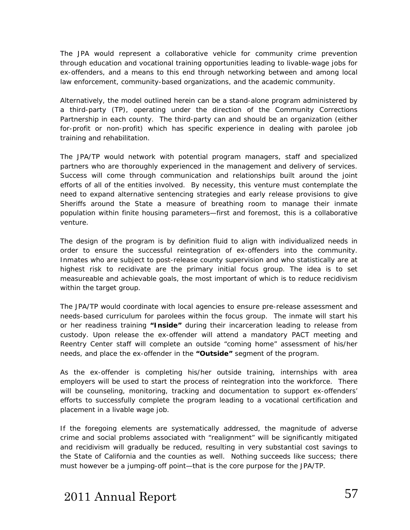The JPA would represent a collaborative vehicle for community crime prevention through education and vocational training opportunities leading to livable-wage jobs for ex-offenders, and a means to this end through networking between and among local law enforcement, community-based organizations, and the academic community.

Alternatively, the model outlined herein can be a stand-alone program administered by a third-party (TP), operating under the direction of the Community Corrections Partnership in each county. The third-party can and should be an organization (either for-profit or non-profit) which has specific experience in dealing with parolee job training and rehabilitation.

The JPA/TP would network with potential program managers, staff and specialized partners who are thoroughly experienced in the management and delivery of services. Success will come through communication and relationships built around the joint efforts of all of the entities involved. By necessity, this venture must contemplate the need to expand alternative sentencing strategies and early release provisions to give Sheriffs around the State a measure of breathing room to manage their inmate population within finite housing parameters—first and foremost, this is a collaborative venture.

The design of the program is by definition fluid to align with individualized needs in order to ensure the successful reintegration of ex-offenders into the community. Inmates who are subject to post-release county supervision and who statistically are at highest risk to recidivate are the primary initial focus group. The idea is to set measureable and achievable goals, the most important of which is to reduce recidivism within the target group.

The JPA/TP would coordinate with local agencies to ensure pre-release assessment and needs-based curriculum for parolees within the focus group. The inmate will start his or her readiness training **"Inside"** during their incarceration leading to release from custody. Upon release the ex-offender will attend a mandatory PACT meeting and Reentry Center staff will complete an outside "coming home" assessment of his/her needs, and place the ex-offender in the **"Outside"** segment of the program.

As the ex-offender is completing his/her outside training, internships with area employers will be used to start the process of reintegration into the workforce. There will be counseling, monitoring, tracking and documentation to support ex-offenders' efforts to successfully complete the program leading to a vocational certification and placement in a livable wage job.

If the foregoing elements are systematically addressed, the magnitude of adverse crime and social problems associated with "realignment" will be significantly mitigated and recidivism will gradually be reduced, resulting in very substantial cost savings to the State of California and the counties as well. Nothing succeeds like success; there must however be a jumping-off point—that is the core purpose for the JPA/TP.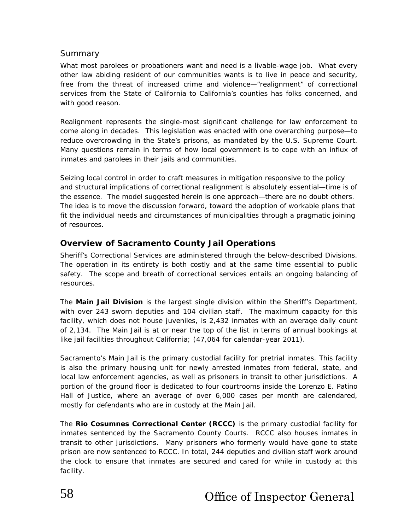## Summary

What most parolees or probationers want and need is a livable-wage job. What every other law abiding resident of our communities wants is to live in peace and security, free from the threat of increased crime and violence—"realignment" of correctional services from the State of California to California's counties has folks concerned, and with good reason.

Realignment represents the single-most significant challenge for law enforcement to come along in decades. This legislation was enacted with one overarching purpose—to reduce overcrowding in the State's prisons, as mandated by the U.S. Supreme Court. Many questions remain in terms of how local government is to cope with an influx of inmates and parolees in their jails and communities.

Seizing local control in order to craft measures in mitigation responsive to the policy and structural implications of correctional realignment is absolutely essential—time is of the essence. The model suggested herein is one approach—there are no doubt others. The idea is to move the discussion forward, toward the adoption of workable plans that fit the individual needs and circumstances of municipalities through a pragmatic joining of resources.

## **Overview of Sacramento County Jail Operations**

Sheriff's Correctional Services are administered through the below-described Divisions. The operation in its entirety is both costly and at the same time essential to public safety. The scope and breath of correctional services entails an ongoing balancing of resources.

The **Main Jail Division** is the largest single division within the Sheriff's Department, with over 243 sworn deputies and 104 civilian staff. The maximum capacity for this facility, which does not house juveniles, is 2,432 inmates with an average daily count of 2,134. The Main Jail is at or near the top of the list in terms of annual bookings at like jail facilities throughout California; (47,064 for calendar-year 2011).

Sacramento's Main Jail is the primary custodial facility for pretrial inmates. This facility is also the primary housing unit for newly arrested inmates from federal, state, and local law enforcement agencies, as well as prisoners in transit to other jurisdictions. A portion of the ground floor is dedicated to four courtrooms inside the Lorenzo E. Patino Hall of Justice, where an average of over 6,000 cases per month are calendared, mostly for defendants who are in custody at the Main Jail.

The **Rio Cosumnes Correctional Center (RCCC)** is the primary custodial facility for inmates sentenced by the Sacramento County Courts. RCCC also houses inmates in transit to other jurisdictions. Many prisoners who formerly would have gone to state prison are now sentenced to RCCC. In total, 244 deputies and civilian staff work around the clock to ensure that inmates are secured and cared for while in custody at this facility.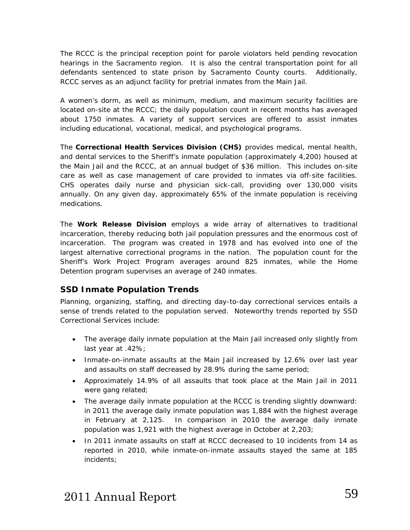The RCCC is the principal reception point for parole violators held pending revocation hearings in the Sacramento region. It is also the central transportation point for all defendants sentenced to state prison by Sacramento County courts. Additionally, RCCC serves as an adjunct facility for pretrial inmates from the Main Jail.

A women's dorm, as well as minimum, medium, and maximum security facilities are located on-site at the RCCC; the daily population count in recent months has averaged about 1750 inmates. A variety of support services are offered to assist inmates including educational, vocational, medical, and psychological programs.

The **Correctional Health Services Division (CHS)** provides medical, mental health, and dental services to the Sheriff's inmate population (approximately 4,200) housed at the Main Jail and the RCCC, at an annual budget of \$36 million. This includes on-site care as well as case management of care provided to inmates via off-site facilities. CHS operates daily nurse and physician sick-call, providing over 130,000 visits annually. On any given day, approximately 65% of the inmate population is receiving medications.

The **Work Release Division** employs a wide array of alternatives to traditional incarceration, thereby reducing both jail population pressures and the enormous cost of incarceration. The program was created in 1978 and has evolved into one of the largest alternative correctional programs in the nation. The population count for the Sheriff's Work Project Program averages around 825 inmates, while the Home Detention program supervises an average of 240 inmates.

## **SSD Inmate Population Trends**

Planning, organizing, staffing, and directing day-to-day correctional services entails a sense of trends related to the population served. Noteworthy trends reported by SSD Correctional Services include:

- The average daily inmate population at the Main Jail increased only slightly from last year at .42%;
- Inmate-on-inmate assaults at the Main Jail increased by 12.6% over last year and assaults on staff decreased by 28.9% during the same period;
- Approximately 14.9% of all assaults that took place at the Main Jail in 2011 were gang related;
- The average daily inmate population at the RCCC is trending slightly downward: in 2011 the average daily inmate population was 1,884 with the highest average in February at 2,125. In comparison in 2010 the average daily inmate population was 1,921 with the highest average in October at 2,203;
- In 2011 inmate assaults on staff at RCCC decreased to 10 incidents from 14 as reported in 2010, while inmate-on-inmate assaults stayed the same at 185 incidents;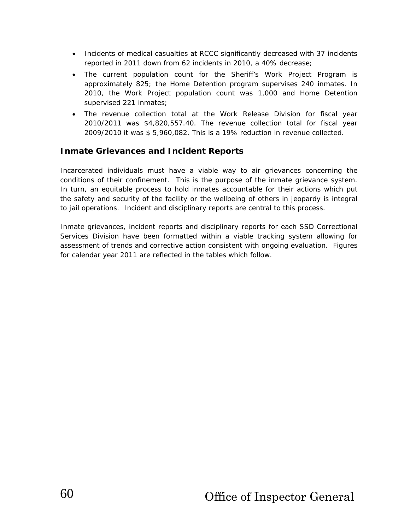- Incidents of medical casualties at RCCC significantly decreased with 37 incidents reported in 2011 down from 62 incidents in 2010, a 40% decrease;
- The current population count for the Sheriff's Work Project Program is approximately 825; the Home Detention program supervises 240 inmates. In 2010, the Work Project population count was 1,000 and Home Detention supervised 221 inmates;
- The revenue collection total at the Work Release Division for fiscal year 2010/2011 was \$4,820,557.40. The revenue collection total for fiscal year 2009/2010 it was \$ 5,960,082. This is a 19% reduction in revenue collected.

## **Inmate Grievances and Incident Reports**

Incarcerated individuals must have a viable way to air grievances concerning the conditions of their confinement. This is the purpose of the inmate grievance system. In turn, an equitable process to hold inmates accountable for their actions which put the safety and security of the facility or the wellbeing of others in jeopardy is integral to jail operations. Incident and disciplinary reports are central to this process.

Inmate grievances, incident reports and disciplinary reports for each SSD Correctional Services Division have been formatted within a viable tracking system allowing for assessment of trends and corrective action consistent with ongoing evaluation. Figures for calendar year 2011 are reflected in the tables which follow.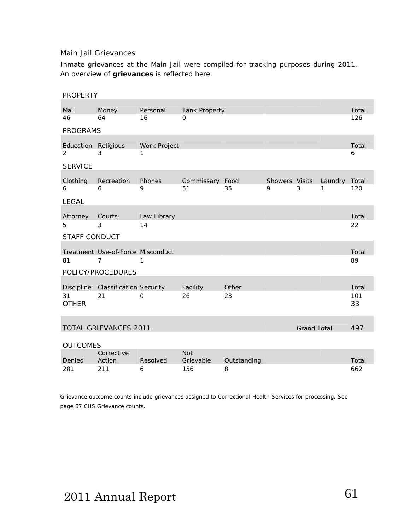### Main Jail Grievances

Inmate grievances at the Main Jail were compiled for tracking purposes during 2011. An overview of *grievances* is reflected here.

| <b>PROPERTY</b>      |                                    |              |                         |             |                     |                    |              |              |
|----------------------|------------------------------------|--------------|-------------------------|-------------|---------------------|--------------------|--------------|--------------|
| Mail                 | Money                              | Personal     | <b>Tank Property</b>    |             |                     |                    |              | Total        |
| 46                   | 64                                 | 16           | 0                       |             |                     |                    |              | 126          |
| <b>PROGRAMS</b>      |                                    |              |                         |             |                     |                    |              |              |
| Education Religious  |                                    | Work Project |                         |             |                     |                    |              | Total        |
| 2<br><b>SERVICE</b>  | 3                                  | 1            |                         |             |                     |                    |              | 6            |
|                      |                                    |              |                         |             |                     |                    |              |              |
| Clothing<br>6        | Recreation<br>6                    | Phones<br>9  | Commissary Food<br>51   | 35          | Showers Visits<br>9 | 3                  | Laundry<br>1 | Total<br>120 |
| <b>LEGAL</b>         |                                    |              |                         |             |                     |                    |              |              |
| Attorney             | Courts                             | Law Library  |                         |             |                     |                    |              | Total        |
| 5                    | 3                                  | 14           |                         |             |                     |                    |              | 22           |
| <b>STAFF CONDUCT</b> |                                    |              |                         |             |                     |                    |              |              |
|                      | Treatment Use-of-Force Misconduct  |              |                         |             |                     |                    |              | Total        |
| 81                   | $\overline{7}$                     | 1            |                         |             |                     |                    |              | 89           |
|                      | POLICY/PROCEDURES                  |              |                         |             |                     |                    |              |              |
|                      | Discipline Classification Security |              | Facility                | Other       |                     |                    |              | Total        |
| 31<br><b>OTHER</b>   | 21                                 | $\mathbf 0$  | 26                      | 23          |                     |                    |              | 101<br>33    |
|                      |                                    |              |                         |             |                     |                    |              |              |
|                      | <b>TOTAL GRIEVANCES 2011</b>       |              |                         |             |                     | <b>Grand Total</b> |              | 497          |
| <b>OUTCOMES</b>      |                                    |              |                         |             |                     |                    |              |              |
| Denied               | Corrective<br>Action               | Resolved     | <b>Not</b><br>Grievable | Outstanding |                     |                    |              | Total        |
| 281                  | 211                                | 6            | 156                     | 8           |                     |                    |              | 662          |

Grievance outcome counts include grievances assigned to Correctional Health Services for processing. See page 67 CHS Grievance counts.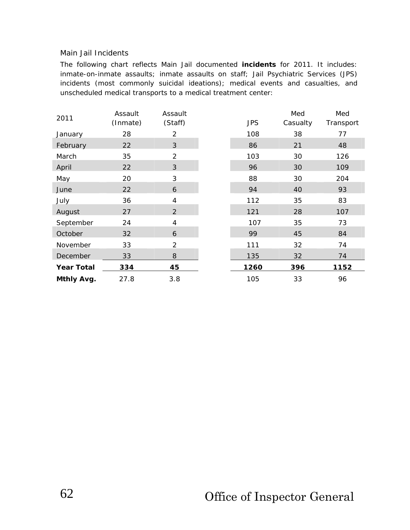#### Main Jail Incidents

The following chart reflects Main Jail documented *incidents* for 2011. It includes: inmate-on-inmate assaults; inmate assaults on staff; Jail Psychiatric Services (JPS) incidents (most commonly suicidal ideations); medical events and casualties, and unscheduled medical transports to a medical treatment center:

|                   | Assault  | Assault        |            | Med      | Med       |
|-------------------|----------|----------------|------------|----------|-----------|
| 2011              | (Inmate) | (Staff)        | <b>JPS</b> | Casualty | Transport |
| January           | 28       | $\overline{2}$ | 108        | 38       | 77        |
| February          | 22       | 3              | 86         | 21       | 48        |
| March             | 35       | $\overline{2}$ | 103        | 30       | 126       |
| April             | 22       | 3              | 96         | 30       | 109       |
| May               | 20       | 3              | 88         | 30       | 204       |
| June              | 22       | 6              | 94         | 40       | 93        |
| July              | 36       | 4              | 112        | 35       | 83        |
| August            | 27       | $\overline{2}$ | 121        | 28       | 107       |
| September         | 24       | 4              | 107        | 35       | 73        |
| October           | 32       | 6              | 99         | 45       | 84        |
| November          | 33       | $\overline{2}$ | 111        | 32       | 74        |
| December          | 33       | 8              | 135        | 32       | 74        |
| <b>Year Total</b> | 334      | 45             | 1260       | 396      | 1152      |
| Mthly Avg.        | 27.8     | 3.8            | 105        | 33       | 96        |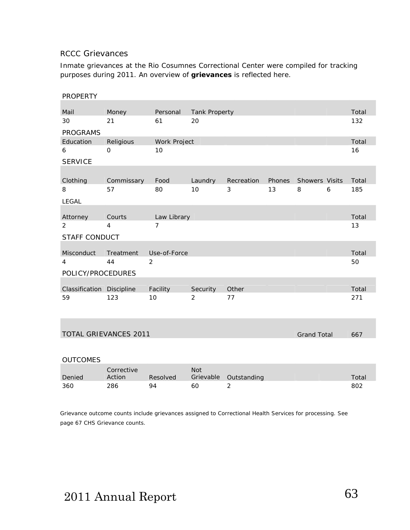#### RCCC Grievances

Inmate grievances at the Rio Cosumnes Correctional Center were compiled for tracking purposes during 2011. An overview of *grievances* is reflected here.

| <b>PROPERTY</b>           |              |                |               |            |        |                       |   |       |
|---------------------------|--------------|----------------|---------------|------------|--------|-----------------------|---|-------|
|                           |              |                |               |            |        |                       |   |       |
| Mail                      | Money        | Personal       | Tank Property |            |        |                       |   | Total |
| 30                        | 21           | 61             | 20            |            |        |                       |   | 132   |
| <b>PROGRAMS</b>           |              |                |               |            |        |                       |   |       |
| Education                 | Religious    | Work Project   |               |            |        |                       |   | Total |
| 6                         | $\mathbf{O}$ | 10             |               |            |        |                       |   | 16    |
| <b>SERVICE</b>            |              |                |               |            |        |                       |   |       |
|                           |              |                |               |            |        |                       |   |       |
| Clothing                  | Commissary   | Food           | Laundry       | Recreation | Phones | <b>Showers Visits</b> |   | Total |
| 8                         | 57           | 80             | 10            | 3          | 13     | 8                     | 6 | 185   |
| <b>LEGAL</b>              |              |                |               |            |        |                       |   |       |
|                           |              |                |               |            |        |                       |   |       |
| Attorney                  | Courts       | Law Library    |               |            |        |                       |   | Total |
| 2                         | 4            | $\overline{7}$ |               |            |        |                       |   | 13    |
| <b>STAFF CONDUCT</b>      |              |                |               |            |        |                       |   |       |
|                           |              |                |               |            |        |                       |   |       |
| <b>Misconduct</b>         | Treatment    | Use-of-Force   |               |            |        |                       |   | Total |
| 4                         | 44           | 2              |               |            |        |                       |   | 50    |
| POLICY/PROCEDURES         |              |                |               |            |        |                       |   |       |
|                           |              |                |               |            |        |                       |   |       |
| Classification Discipline |              | Facility       | Security      | Other      |        |                       |   | Total |
| 59                        | 123          | 10             | 2             | 77         |        |                       |   | 271   |

| TOTAL GRIEVANCES 2011 |  |
|-----------------------|--|
|                       |  |

Grand Total 667

| <b>OUTCOMES</b> |                      |          |            |                       |       |  |
|-----------------|----------------------|----------|------------|-----------------------|-------|--|
| Denied          | Corrective<br>Action | Resolved | <b>Not</b> | Grievable Outstanding | Total |  |
| 360             | 286                  | 94       | 60         |                       | 802   |  |

Grievance outcome counts include grievances assigned to Correctional Health Services for processing. See page 67 CHS Grievance counts.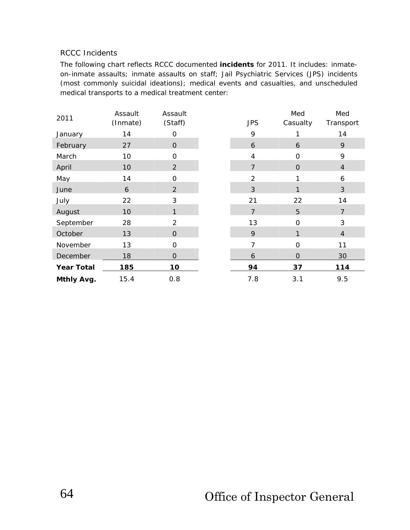### RCCC Incidents

The following chart reflects RCCC documented *incidents* for 2011. It includes: inmateon-inmate assaults; inmate assaults on staff; Jail Psychiatric Services (JPS) incidents (most commonly suicidal ideations); medical events and casualties, and unscheduled medical transports to a medical treatment center:

| 2011              | Assault  | Assault        |                | Med            | Med            |
|-------------------|----------|----------------|----------------|----------------|----------------|
|                   | (Inmate) | (Staff)        | <b>JPS</b>     | Casualty       | Transport      |
| January           | 14       | 0              | 9              |                | 14             |
| February          | 27       | $\mathbf{O}$   | 6              | 6              | 9              |
| March             | 10       | $\mathbf 0$    | 4              | $\mathbf 0$    | 9              |
| April             | 10       | $\overline{2}$ | $\overline{7}$ | $\mathbf{O}$   | $\overline{4}$ |
| May               | 14       | $\overline{O}$ | $\overline{2}$ |                | 6              |
| June              | 6        | 2              | 3              | 1              | 3              |
| July              | 22       | 3              | 21             | 22             | 14             |
| August            | 10       | $\mathbf{1}$   | $\overline{7}$ | 5              | $\overline{7}$ |
| September         | 28       | $\overline{2}$ | 13             | $\overline{O}$ | 3              |
| October           | 13       | $\mathbf{O}$   | 9              | 1              | $\overline{4}$ |
| November          | 13       | $\Omega$       | $\overline{7}$ | $\Omega$       | 11             |
| December          | 18       | $\mathbf{O}$   | 6              | $\overline{O}$ | 30             |
| <b>Year Total</b> | 185      | 10             | 94             | 37             | 114            |
| Mthly Avg.        | 15.4     | 0.8            | 7.8            | 3.1            | 9.5            |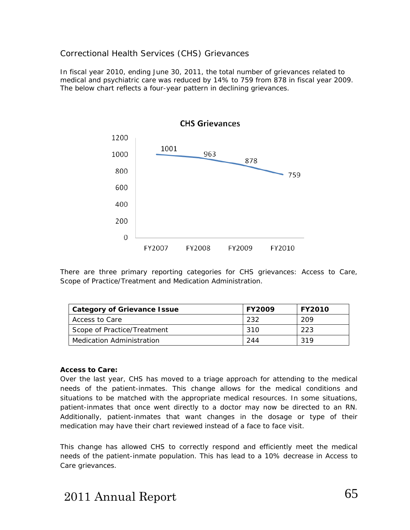### Correctional Health Services (CHS) Grievances

In fiscal year 2010, ending June 30, 2011, the total number of grievances related to medical and psychiatric care was reduced by 14% to 759 from 878 in fiscal year 2009. The below chart reflects a four-year pattern in declining grievances.



There are three primary reporting categories for CHS grievances: Access to Care, Scope of Practice/Treatment and Medication Administration.

| <b>Category of Grievance Issue</b> | <b>FY2009</b> | <b>FY2010</b> |
|------------------------------------|---------------|---------------|
| Access to Care                     | -232          | 209           |
| Scope of Practice/Treatment        | 310           | 223           |
| Medication Administration          | 244           | 319           |

#### **Access to Care:**

Over the last year, CHS has moved to a triage approach for attending to the medical needs of the patient-inmates. This change allows for the medical conditions and situations to be matched with the appropriate medical resources. In some situations, patient-inmates that once went directly to a doctor may now be directed to an RN. Additionally, patient-inmates that want changes in the dosage or type of their medication may have their chart reviewed instead of a face to face visit.

This change has allowed CHS to correctly respond and efficiently meet the medical needs of the patient-inmate population. This has lead to a 10% decrease in Access to Care grievances.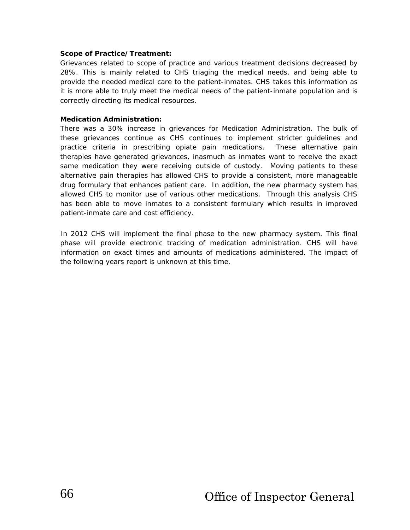#### **Scope of Practice/Treatment:**

Grievances related to scope of practice and various treatment decisions decreased by 28%. This is mainly related to CHS triaging the medical needs, and being able to provide the needed medical care to the patient-inmates. CHS takes this information as it is more able to truly meet the medical needs of the patient-inmate population and is correctly directing its medical resources.

#### **Medication Administration:**

There was a 30% increase in grievances for Medication Administration. The bulk of these grievances continue as CHS continues to implement stricter guidelines and practice criteria in prescribing opiate pain medications. These alternative pain therapies have generated grievances, inasmuch as inmates want to receive the exact same medication they were receiving outside of custody. Moving patients to these alternative pain therapies has allowed CHS to provide a consistent, more manageable drug formulary that enhances patient care. In addition, the new pharmacy system has allowed CHS to monitor use of various other medications. Through this analysis CHS has been able to move inmates to a consistent formulary which results in improved patient-inmate care and cost efficiency.

In 2012 CHS will implement the final phase to the new pharmacy system. This final phase will provide electronic tracking of medication administration. CHS will have information on exact times and amounts of medications administered. The impact of the following years report is unknown at this time.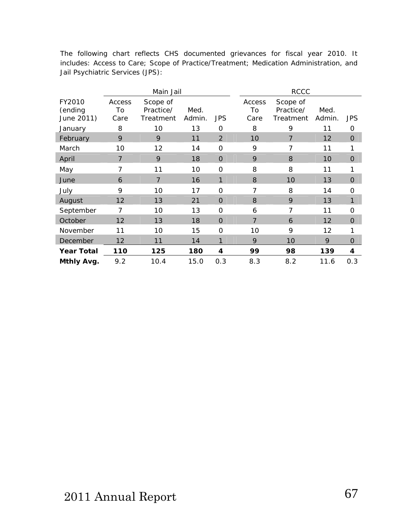The following chart reflects CHS documented grievances for fiscal year 2010. It includes: Access to Care; Scope of Practice/Treatment; Medication Administration, and Jail Psychiatric Services (JPS):

|                                 |                      | Main Jail                          |                |                | <b>RCCC</b>          |                                    |                |              |
|---------------------------------|----------------------|------------------------------------|----------------|----------------|----------------------|------------------------------------|----------------|--------------|
| FY2010<br>(ending<br>June 2011) | Access<br>To<br>Care | Scope of<br>Practice/<br>Treatment | Med.<br>Admin. | <b>JPS</b>     | Access<br>To<br>Care | Scope of<br>Practice/<br>Treatment | Med.<br>Admin. | <b>JPS</b>   |
| January                         | 8                    | 10                                 | 13             | 0              | 8                    | 9                                  | 11             | 0            |
| February                        | 9                    | 9                                  | 11             | $\overline{2}$ | 10                   | 7                                  | 12             | $\mathbf{O}$ |
| March                           | 10                   | 12                                 | 14             | 0              | 9                    | 7                                  | 11             | 1            |
| April                           | $\overline{7}$       | 9                                  | 18             | $\overline{O}$ | 9                    | 8                                  | 10             | $\mathbf{O}$ |
| May                             | 7                    | 11                                 | 10             | $\overline{O}$ | 8                    | 8                                  | 11             | 1            |
| June                            | 6                    | $\overline{7}$                     | 16             | 1              | 8                    | 10                                 | 13             | $\Omega$     |
| July                            | 9                    | 10                                 | 17             | $\overline{O}$ | 7                    | 8                                  | 14             | $\mathbf 0$  |
| August                          | 12                   | 13                                 | 21             | $\overline{0}$ | 8                    | 9                                  | 13             | 1            |
| September                       | 7                    | 10                                 | 13             | 0              | 6                    | 7                                  | 11             | 0            |
| October                         | 12                   | 13                                 | 18             | $\overline{0}$ | $\overline{7}$       | 6                                  | 12             | $\Omega$     |
| November                        | 11                   | 10                                 | 15             | $\overline{O}$ | 10                   | 9                                  | 12             | 1            |
| December                        | 12                   | 11                                 | 14             | 1              | 9                    | 10                                 | 9              | $\Omega$     |
| <b>Year Total</b>               | 110                  | 125                                | 180            | 4              | 99                   | 98                                 | 139            | 4            |
| Mthly Avg.                      | 9.2                  | 10.4                               | 15.0           | 0.3            | 8.3                  | 8.2                                | 11.6           | 0.3          |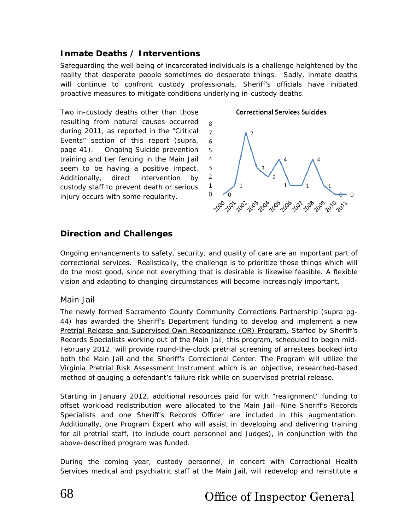# **Inmate Deaths / Interventions**

Safeguarding the well being of incarcerated individuals is a challenge heightened by the reality that desperate people sometimes do desperate things. Sadly, inmate deaths will continue to confront custody professionals. Sheriff's officials have initiated proactive measures to mitigate conditions underlying in-custody deaths.

Two in-custody deaths other than those resulting from natural causes occurred during 2011, as reported in the "Critical Events" section of this report (supra, page 41). Ongoing Suicide prevention training and tier fencing in the Main Jail seem to be having a positive impact. Additionally, direct intervention by custody staff to prevent death or serious injury occurs with some regularity.

#### **Correctional Services Suicides**



### **Direction and Challenges**

Ongoing enhancements to safety, security, and quality of care are an important part of correctional services. Realistically, the challenge is to prioritize those things which will do the most good, since not everything that is desirable is likewise feasible. A flexible vision and adapting to changing circumstances will become increasingly important.

#### Main Jail

The newly formed Sacramento County Community Corrections Partnership (supra pg-44) has awarded the Sheriff's Department funding to develop and implement a new Pretrial Release and Supervised Own Recognizance (OR) Program. Staffed by Sheriff's Records Specialists working out of the Main Jail, this program, scheduled to begin mid-February 2012, will provide round-the-clock pretrial screening of arrestees booked into both the Main Jail and the Sheriff's Correctional Center. The Program will utilize the Virginia Pretrial Risk Assessment Instrument which is an objective, researched-based method of gauging a defendant's failure risk while on supervised pretrial release.

Starting in January 2012, additional resources paid for with "realignment" funding to offset workload redistribution were allocated to the Main Jail—Nine Sheriff's Records Specialists and one Sheriff's Records Officer are included in this augmentation. Additionally, one Program Expert who will assist in developing and delivering training for all pretrial staff, (to include court personnel and Judges), in conjunction with the above-described program was funded.

During the coming year, custody personnel, in concert with Correctional Health Services medical and psychiatric staff at the Main Jail, will redevelop and reinstitute a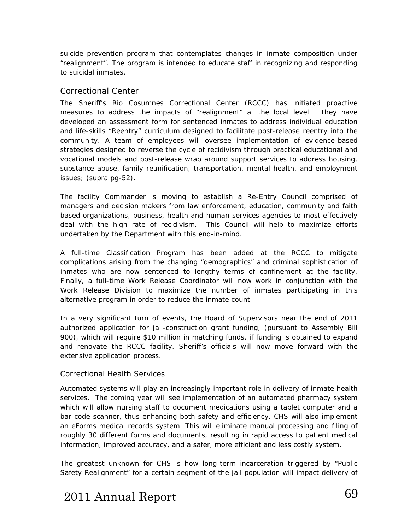suicide prevention program that contemplates changes in inmate composition under "realignment". The program is intended to educate staff in recognizing and responding to suicidal inmates.

#### Correctional Center

The Sheriff's Rio Cosumnes Correctional Center (RCCC) has initiated proactive measures to address the impacts of "realignment" at the local level. They have developed an assessment form for sentenced inmates to address individual education and life-skills "Reentry" curriculum designed to facilitate post-release reentry into the community. A team of employees will oversee implementation of evidence-based strategies designed to reverse the cycle of recidivism through practical educational and vocational models and post-release wrap around support services to address housing, substance abuse, family reunification, transportation, mental health, and employment issues; (supra pg-52).

The facility Commander is moving to establish a Re-Entry Council comprised of managers and decision makers from law enforcement, education, community and faith based organizations, business, health and human services agencies to most effectively deal with the high rate of recidivism. This Council will help to maximize efforts undertaken by the Department with this end-in-mind.

A full-time Classification Program has been added at the RCCC to mitigate complications arising from the changing "demographics" and criminal sophistication of inmates who are now sentenced to lengthy terms of confinement at the facility. Finally, a full-time Work Release Coordinator will now work in conjunction with the Work Release Division to maximize the number of inmates participating in this alternative program in order to reduce the inmate count.

In a very significant turn of events, the Board of Supervisors near the end of 2011 authorized application for jail-construction grant funding, (pursuant to Assembly Bill 900), which will require \$10 million in matching funds, if funding is obtained to expand and renovate the RCCC facility. Sheriff's officials will now move forward with the extensive application process.

#### Correctional Health Services

Automated systems will play an increasingly important role in delivery of inmate health services. The coming year will see implementation of an automated pharmacy system which will allow nursing staff to document medications using a tablet computer and a bar code scanner, thus enhancing both safety and efficiency. CHS will also implement an eForms medical records system. This will eliminate manual processing and filing of roughly 30 different forms and documents, resulting in rapid access to patient medical information, improved accuracy, and a safer, more efficient and less costly system.

The greatest unknown for CHS is how long-term incarceration triggered by *"Public Safety Realignment"* for a certain segment of the jail population will impact delivery of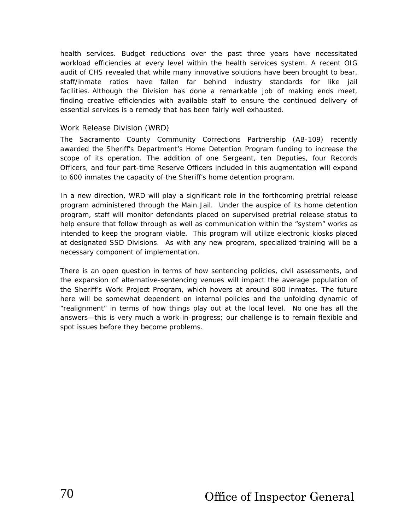health services. Budget reductions over the past three years have necessitated workload efficiencies at every level within the health services system. A recent OIG audit of CHS revealed that while many innovative solutions have been brought to bear, staff/inmate ratios have fallen far behind industry standards for like jail facilities. Although the Division has done a remarkable job of making ends meet, finding creative efficiencies with available staff to ensure the continued delivery of essential services is a remedy that has been fairly well exhausted.

#### Work Release Division (WRD)

The Sacramento County Community Corrections Partnership (AB-109) recently awarded the Sheriff's Department's Home Detention Program funding to increase the scope of its operation. The addition of one Sergeant, ten Deputies, four Records Officers, and four part-time Reserve Officers included in this augmentation will expand to 600 inmates the capacity of the Sheriff's home detention program.

In a new direction, WRD will play a significant role in the forthcoming pretrial release program administered through the Main Jail. Under the auspice of its home detention program, staff will monitor defendants placed on supervised pretrial release status to help ensure that follow through as well as communication within the "system" works as intended to keep the program viable. This program will utilize electronic kiosks placed at designated SSD Divisions. As with any new program, specialized training will be a necessary component of implementation.

There is an open question in terms of how sentencing policies, civil assessments, and the expansion of alternative-sentencing venues will impact the average population of the Sheriff's Work Project Program, which hovers at around 800 inmates. The future here will be somewhat dependent on internal policies and the unfolding dynamic of "realignment" in terms of how things play out at the local level. No one has all the answers—this is very much a work-in-progress; our challenge is to remain flexible and spot issues before they become problems.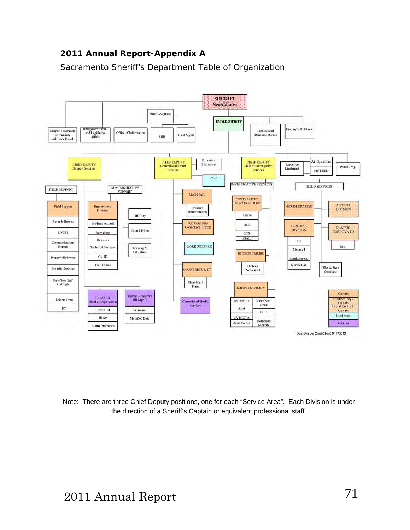# **2011 Annual Report-Appendix A**

Sacramento Sheriff's Department Table of Organization



Note: There are three Chief Deputy positions, one for each "Service Area". Each Division is under the direction of a Sheriff's Captain or equivalent professional staff.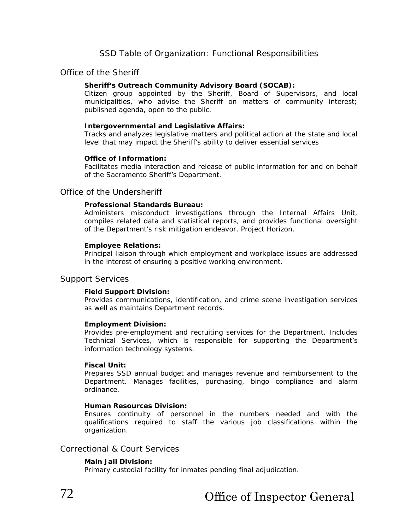# SSD Table of Organization: Functional Responsibilities

## Office of the Sheriff

#### **Sheriff's Outreach Community Advisory Board (SOCAB):**

Citizen group appointed by the Sheriff, Board of Supervisors, and local municipalities, who advise the Sheriff on matters of community interest; published agenda, open to the public.

#### **Intergovernmental and Legislative Affairs:**

Tracks and analyzes legislative matters and political action at the state and local level that may impact the Sheriff's ability to deliver essential services

#### **Office of Information:**

Facilitates media interaction and release of public information for and on behalf of the Sacramento Sheriff's Department.

## Office of the Undersheriff

#### **Professional Standards Bureau:**

Administers misconduct investigations through the Internal Affairs Unit, compiles related data and statistical reports, and provides functional oversight of the Department's risk mitigation endeavor, Project Horizon.

#### **Employee Relations:**

Principal liaison through which employment and workplace issues are addressed in the interest of ensuring a positive working environment.

#### Support Services

#### **Field Support Division:**

Provides communications, identification, and crime scene investigation services as well as maintains Department records.

#### **Employment Division:**

Provides pre-employment and recruiting services for the Department. Includes Technical Services, which is responsible for supporting the Department's information technology systems.

#### **Fiscal Unit:**

Prepares SSD annual budget and manages revenue and reimbursement to the Department. Manages facilities, purchasing, bingo compliance and alarm ordinance.

#### **Human Resources Division:**

Ensures continuity of personnel in the numbers needed and with the qualifications required to staff the various job classifications within the organization.

## Correctional & Court Services

#### **Main Jail Division:**

Primary custodial facility for inmates pending final adjudication.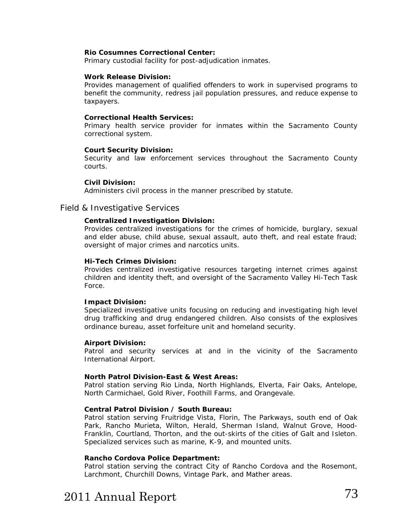#### **Rio Cosumnes Correctional Center:**

Primary custodial facility for post-adjudication inmates.

#### **Work Release Division:**

Provides management of qualified offenders to work in supervised programs to benefit the community, redress jail population pressures, and reduce expense to taxpayers.

#### **Correctional Health Services:**

Primary health service provider for inmates within the Sacramento County correctional system.

#### **Court Security Division:**

Security and law enforcement services throughout the Sacramento County courts.

#### **Civil Division:**

Administers civil process in the manner prescribed by statute.

#### Field & Investigative Services

#### **Centralized Investigation Division:**

Provides centralized investigations for the crimes of homicide, burglary, sexual and elder abuse, child abuse, sexual assault, auto theft, and real estate fraud; oversight of major crimes and narcotics units.

#### **Hi-Tech Crimes Division:**

Provides centralized investigative resources targeting internet crimes against children and identity theft, and oversight of the Sacramento Valley Hi-Tech Task Force.

#### **Impact Division:**

Specialized investigative units focusing on reducing and investigating high level drug trafficking and drug endangered children. Also consists of the explosives ordinance bureau, asset forfeiture unit and homeland security.

#### **Airport Division:**

Patrol and security services at and in the vicinity of the Sacramento International Airport.

#### **North Patrol Division-East & West Areas:**

Patrol station serving Rio Linda, North Highlands, Elverta, Fair Oaks, Antelope, North Carmichael, Gold River, Foothill Farms, and Orangevale.

#### **Central Patrol Division / South Bureau:**

Patrol station serving Fruitridge Vista, Florin, The Parkways, south end of Oak Park, Rancho Murieta, Wilton, Herald, Sherman Island, Walnut Grove, Hood-Franklin, Courtland, Thorton, and the out-skirts of the cities of Galt and Isleton. Specialized services such as marine, K-9, and mounted units.

#### **Rancho Cordova Police Department:**

Patrol station serving the contract City of Rancho Cordova and the Rosemont, Larchmont, Churchill Downs, Vintage Park, and Mather areas.

# 2011 Annual Report 73